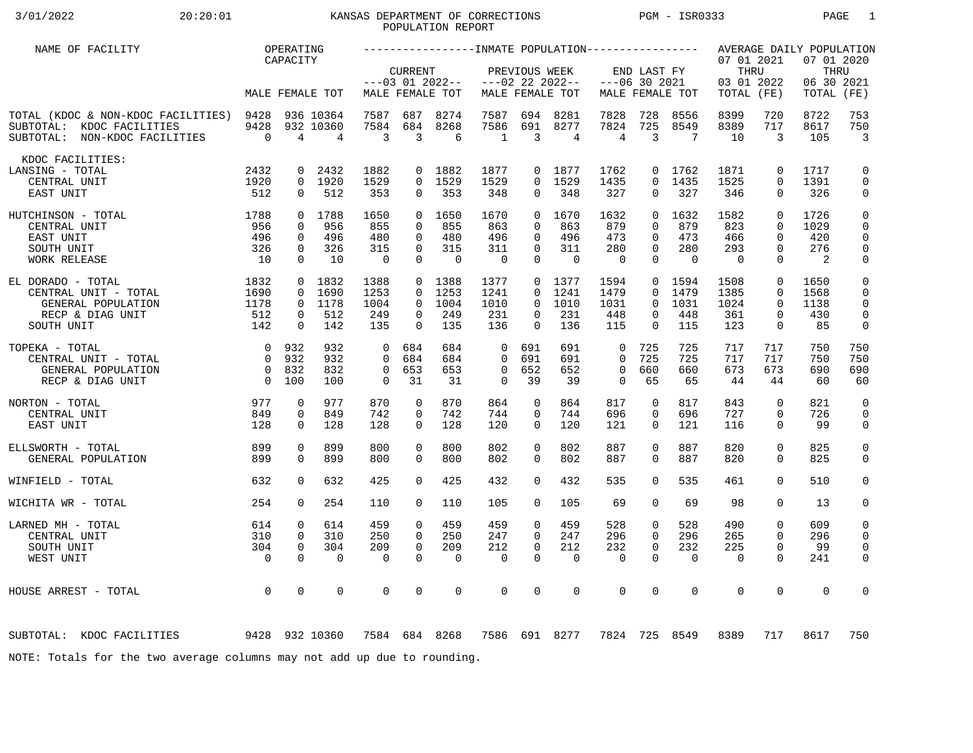# 3/01/2022 20:20:01 KANSAS DEPARTMENT OF CORRECTIONS PGM - ISR0333 PAGE 1 POPULATION REPORT

| NAME OF FACILITY                                                                                      |                        | OPERATING                                                |                             |                                |                         |                                      |                              |                      |                                      |                         |                      |                   |                                                |                            | AVERAGE DAILY POPULATION          |                              |
|-------------------------------------------------------------------------------------------------------|------------------------|----------------------------------------------------------|-----------------------------|--------------------------------|-------------------------|--------------------------------------|------------------------------|----------------------|--------------------------------------|-------------------------|----------------------|-------------------|------------------------------------------------|----------------------------|-----------------------------------|------------------------------|
|                                                                                                       |                        | CAPACITY                                                 | MALE FEMALE TOT             |                                | <b>CURRENT</b>          | $---03$ 01 2022--<br>MALE FEMALE TOT |                              | PREVIOUS WEEK        | $---02$ 22 2022--<br>MALE FEMALE TOT | $---06$ 30 2021         | END LAST FY          | MALE FEMALE TOT   | 07 01 2021<br>THRU<br>03 01 2022<br>TOTAL (FE) |                            | 07 01 2020<br>06 30 2021<br>TOTAL | THRU<br>(FE)                 |
|                                                                                                       |                        |                                                          |                             |                                |                         |                                      |                              |                      |                                      |                         |                      |                   |                                                |                            |                                   |                              |
| TOTAL (KDOC & NON-KDOC FACILITIES) 9428<br>SUBTOTAL: KDOC FACILITIES<br>SUBTOTAL: NON-KDOC FACILITIES | 9428<br>$\overline{0}$ | $\overline{4}$                                           | 936 10364<br>932 10360<br>4 | 7587<br>7584<br>$\overline{3}$ | 687<br>684<br>3         | 8274<br>8268<br>6                    | 7587<br>7586<br>$\mathbf{1}$ | 694<br>691<br>3      | 8281<br>8277<br>$\overline{4}$       | 7828<br>7824<br>4       | 728<br>725<br>3      | 8556<br>8549<br>7 | 8399<br>8389<br>10                             | 720<br>717<br>3            | 8722<br>8617<br>105               | 753<br>750<br>$\overline{3}$ |
| KDOC FACILITIES:                                                                                      |                        |                                                          |                             |                                |                         |                                      |                              |                      |                                      |                         |                      |                   |                                                |                            |                                   |                              |
| LANSING - TOTAL<br>CENTRAL UNIT                                                                       | 2432<br>1920           | $\mathbf{0}$                                             | 2432<br>0 1920              | 1882<br>1529                   |                         | 0 1882<br>0 1529                     | 1877<br>1529                 | $\Omega$             | 0 1877<br>1529                       | 1762<br>1435            | $\Omega$             | 0 1762<br>1435    | 1871<br>1525                                   | $\mathbf 0$<br>$\Omega$    | 1717<br>1391                      | $\mathbf 0$<br>$\mathbf 0$   |
| EAST UNIT                                                                                             | 512                    | $\mathbf{0}$                                             | 512                         | 353                            | 0                       | 353                                  | 348                          | $\overline{0}$       | 348                                  | 327                     | 0                    | 327               | 346                                            | $\mathbf{0}$               | 326                               | 0                            |
| $\begin{array}{c} 1788 \\ 956 \\ 496 \\ 326 \\ 10 \end{array}$<br>HUTCHINSON - TOTAL                  |                        |                                                          | 0 1788                      | 1650                           |                         | 0 1650                               | 1670                         |                      | 0, 1670                              | 1632                    | $\Omega$             | 1632              | 1582                                           | $\Omega$                   | 1726                              | $\mathsf 0$                  |
| CENTRAL UNIT<br>EAST UNIT                                                                             |                        | $\Omega$<br>$\mathbf 0$                                  | 956<br>496                  | 855<br>480                     | $\Omega$<br>$\Omega$    | 855<br>480                           | 863<br>496                   | $\Omega$<br>$\Omega$ | 863<br>496                           | 879<br>473              | $\Omega$<br>$\Omega$ | 879<br>473        | 823<br>466                                     | $\Omega$<br>$\Omega$       | 1029<br>420                       | $\mathbf 0$<br>$\mathbf 0$   |
| SOUTH UNIT                                                                                            |                        | $\mathbf{0}$                                             | 326                         | 315                            | $\Omega$                | 315                                  | 311                          | $\Omega$             | 311                                  | 280                     | $\Omega$             | 280               | 293                                            | $\Omega$                   | 276                               | $\mathbf 0$                  |
| WORK RELEASE                                                                                          |                        | $\Omega$                                                 | 10                          | $\overline{0}$                 | $\Omega$                | $\Omega$                             | $\overline{0}$               | $\Omega$             | $\Omega$                             | $\Omega$                | $\Omega$             | $\bigcap$         | $\overline{0}$                                 | $\Omega$                   | $\overline{2}$                    | 0                            |
| EL DORADO - TOTAL                                                                                     | 1832                   |                                                          |                             | 1388                           |                         | 0 1388                               | 1377                         |                      | $0$ 1377                             | 1594                    |                      | 0 1594            | 1508                                           | $\mathbf 0$                | 1650                              | $\mathbf 0$                  |
| CENTRAL UNIT - TOTAL                                                                                  | 1690<br>1178           | $\Omega$                                                 |                             | 1253<br>1004                   | $\Omega$<br>$\Omega$    | 1253<br>1004                         | 1241<br>1010                 | $\Omega$<br>$\Omega$ | 1241<br>1010                         | 1479<br>1031            | $\Omega$<br>$\Omega$ | 1479<br>1031      | 1385<br>1024                                   | $\Omega$<br>$\Omega$       | 1568<br>1138                      | $\mathbf 0$<br>$\Omega$      |
| GENERAL POPULATION<br>RECP & DIAG UNIT                                                                | 512                    | $0$ 1832<br>1690<br>0 1178<br>$\mathbf{0}$<br>512<br>249 |                             |                                | $\Omega$                | 249                                  | 231                          | $\Omega$             | 231                                  | 448                     | 0                    | 448               | 361                                            | $\mathbf 0$                | 430                               | $\mathbf 0$                  |
| SOUTH UNIT                                                                                            | 142                    | $\Omega$                                                 | 142                         | 135                            | $\Omega$                | 135                                  | 136                          | $\Omega$             | 136                                  | 115                     | $\Omega$             | 115               | 123                                            | $\mathbf 0$                | 85                                | 0                            |
| TOPEKA - TOTAL                                                                                        | 0 932                  |                                                          | 932                         | $\overline{0}$                 | 684                     | 684                                  | $\mathbf{0}$                 | 691                  | 691                                  | $\mathbf 0$             | 725                  | 725               | 717                                            | 717                        | 750                               | 750                          |
| CENTRAL UNIT - TOTAL                                                                                  | $\overline{0}$         | 932                                                      | 932                         | $\Omega$                       | 684                     | 684                                  | $\Omega$                     | 691                  | 691                                  | $\Omega$                | 725                  | 725               | 717                                            | 717                        | 750                               | 750                          |
| GENERAL POPULATION<br>RECP & DIAG UNIT                                                                | $\overline{0}$         | 0 832<br>100                                             | 832<br>100                  | $\overline{0}$<br>$\Omega$     | 653<br>31               | 653<br>31                            | $\mathbf 0$<br>$\Omega$      | 652<br>39            | 652<br>39                            | $\mathbf 0$<br>$\Omega$ | 660<br>65            | 660<br>65         | 673<br>44                                      | 673<br>44                  | 690<br>60                         | 690<br>60                    |
|                                                                                                       |                        |                                                          |                             |                                |                         |                                      |                              |                      |                                      |                         |                      |                   |                                                |                            |                                   |                              |
| 977<br>NORTON - TOTAL<br>CENTRAL UNIT                                                                 | 849                    | 0<br>0                                                   | 977<br>849                  | 870<br>742                     | $\mathbf 0$<br>0        | 870<br>742                           | 864<br>744                   | 0<br>0               | 864<br>744                           | 817<br>696              | 0<br>0               | 817<br>696        | 843<br>727                                     | $\mathbf 0$<br>$\mathbf 0$ | 821<br>726                        | $\mathbf 0$<br>$\mathbf 0$   |
| EAST UNIT                                                                                             | 128                    | $\Omega$                                                 | 128                         | 128                            | $\Omega$                | 128                                  | 120                          | $\Omega$             | 120                                  | 121                     | $\Omega$             | 121               | 116                                            | $\Omega$                   | 99                                | 0                            |
| ELLSWORTH - TOTAL                                                                                     | 899                    | 0                                                        | 899                         | 800                            | $\Omega$                | 800                                  | 802                          | $\Omega$             | 802                                  | 887                     | $\Omega$             | 887               | 820                                            | $\mathbf 0$                | 825                               | $\mathsf{O}$                 |
| GENERAL POPULATION                                                                                    | 899                    | $\Omega$                                                 | 899                         | 800                            | $\Omega$                | 800                                  | 802                          | $\Omega$             | 802                                  | 887                     | $\Omega$             | 887               | 820                                            | $\Omega$                   | 825                               | $\mathbf 0$                  |
| WINFIELD - TOTAL                                                                                      | 632                    | $\Omega$                                                 | 632                         | 425                            | $\Omega$                | 425                                  | 432                          | $\Omega$             | 432                                  | 535                     | $\Omega$             | 535               | 461                                            | $\Omega$                   | 510                               | $\mathbf 0$                  |
| WICHITA WR - TOTAL                                                                                    | 254                    | $\Omega$                                                 | 254                         | 110                            | $\Omega$                | 110                                  | 105                          | $\Omega$             | 105                                  | 69                      | 0                    | 69                | 98                                             | $\Omega$                   | 13                                | 0                            |
|                                                                                                       |                        |                                                          |                             |                                |                         |                                      |                              |                      |                                      |                         |                      |                   |                                                |                            |                                   |                              |
| LARNED MH - TOTAL<br>CENTRAL UNIT                                                                     | 614<br>310             | 0<br>$\mathbf{0}$                                        | 614<br>310                  | 459<br>250                     | $\mathbf 0$<br>$\Omega$ | 459<br>250                           | 459<br>247                   | 0<br>$\Omega$        | 459<br>247                           | 528<br>296              | 0<br>$\Omega$        | 528<br>296        | 490<br>265                                     | $\mathbf 0$<br>$\Omega$    | 609<br>296                        | 0<br>0                       |
| SOUTH UNIT                                                                                            | 304                    | $\mathbf 0$                                              | 304                         | 209                            | $\mathbf 0$             | 209                                  | 212                          | 0                    | 212                                  | 232                     | $\mathbf 0$          | 232               | 225                                            | $\mathbf 0$                | 99                                | $\mathbf 0$                  |
| WEST UNIT                                                                                             | $\overline{0}$         | $\Omega$                                                 | $\Omega$                    | $\Omega$                       | $\Omega$                | $\mathbf 0$                          | $\mathbf 0$                  | $\Omega$             | $\Omega$                             | $\mathbf 0$             | $\Omega$             | $\Omega$          | $\overline{0}$                                 | $\Omega$                   | 241                               | 0                            |
| HOUSE ARREST - TOTAL                                                                                  | $\overline{0}$         | $\mathbf 0$                                              | 0                           | $\mathbf 0$                    | $\mathbf 0$             | $\mathbf 0$                          | $\mathbf 0$                  | 0                    | $\mathbf 0$                          | $\mathbf 0$             | 0                    | $\mathbf 0$       | $\mathbf 0$                                    | $\mathbf 0$                | $\mathbf 0$                       | 0                            |
|                                                                                                       |                        |                                                          |                             |                                |                         |                                      |                              |                      |                                      |                         |                      |                   |                                                |                            |                                   |                              |
| 9428 932 10360<br>SUBTOTAL: KDOC FACILITIES                                                           |                        |                                                          |                             | 7584 684 8268                  |                         |                                      |                              |                      | 7586 691 8277                        |                         |                      | 7824 725 8549     | 8389                                           | 717                        | 8617                              | 750                          |
|                                                                                                       |                        |                                                          |                             |                                |                         |                                      |                              |                      |                                      |                         |                      |                   |                                                |                            |                                   |                              |
| NOTE: Totals for the two average columns may not add up due to rounding.                              |                        |                                                          |                             |                                |                         |                                      |                              |                      |                                      |                         |                      |                   |                                                |                            |                                   |                              |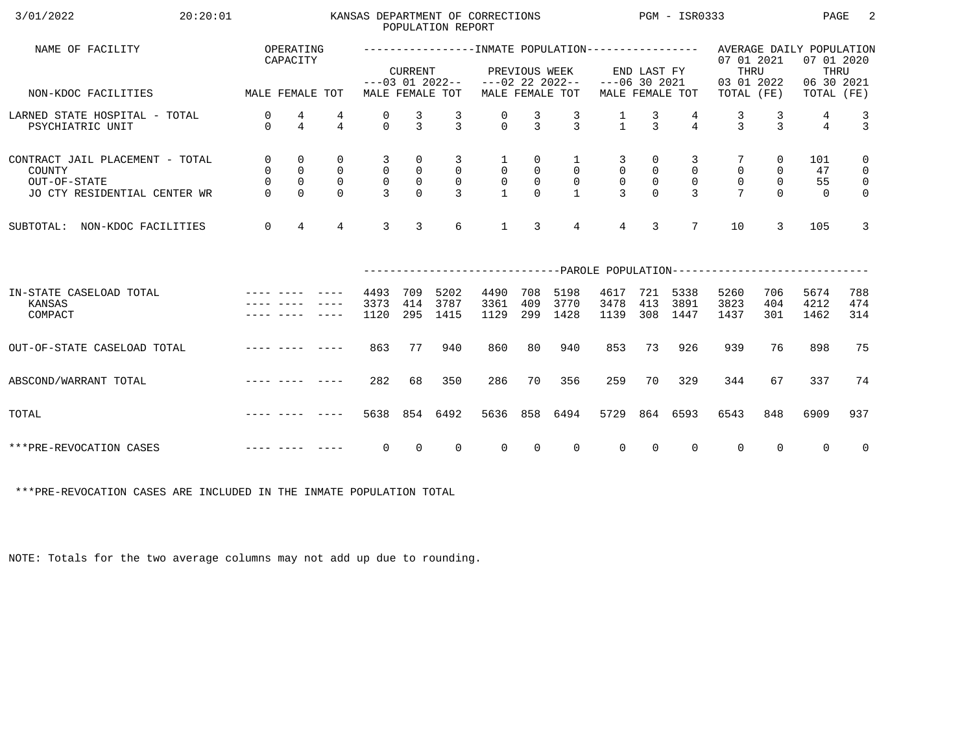| 3/01/2022<br>20:20:01                                                                     |                                               |                                              |                                             |                                                           |                                                                 | POPULATION REPORT                                    | KANSAS DEPARTMENT OF CORRECTIONS               |                                               |                                                             |                                                         |                                                | PGM - ISR0333                                   |                                                                                       |                                             | PAGE                                                         | 2                                                               |
|-------------------------------------------------------------------------------------------|-----------------------------------------------|----------------------------------------------|---------------------------------------------|-----------------------------------------------------------|-----------------------------------------------------------------|------------------------------------------------------|------------------------------------------------|-----------------------------------------------|-------------------------------------------------------------|---------------------------------------------------------|------------------------------------------------|-------------------------------------------------|---------------------------------------------------------------------------------------|---------------------------------------------|--------------------------------------------------------------|-----------------------------------------------------------------|
| NAME OF FACILITY                                                                          |                                               | OPERATING<br>CAPACITY                        |                                             |                                                           | <b>CURRENT</b>                                                  | $---03$ 01 2022--                                    |                                                | PREVIOUS WEEK                                 | $---02$ 22 2022--                                           | $---06$ 30 2021                                         | END LAST FY                                    |                                                 | 07 01 2021<br>THRU                                                                    |                                             | AVERAGE DAILY POPULATION<br>07 01 2020<br>THRU<br>06 30 2021 |                                                                 |
| NON-KDOC FACILITIES                                                                       | MALE FEMALE TOT                               |                                              |                                             |                                                           |                                                                 | MALE FEMALE TOT                                      |                                                |                                               | MALE FEMALE TOT                                             |                                                         |                                                | MALE FEMALE TOT                                 | 03 01 2022<br>TOTAL (FE)                                                              |                                             | TOTAL (FE)                                                   |                                                                 |
| LARNED STATE HOSPITAL - TOTAL<br>PSYCHIATRIC UNIT                                         | $\mathbf 0$<br>$\Omega$                       | 4<br>$\overline{4}$                          | 4<br>$\overline{4}$                         | 0<br>$\Omega$                                             | $\frac{3}{3}$                                                   | $\mathcal{R}$                                        | $\Omega$                                       | 3<br>$\mathcal{E}$                            | $\frac{3}{3}$                                               | $\frac{1}{1}$                                           | $\frac{3}{3}$                                  | $\overline{4}$                                  | 3<br>$\mathbf{z}$                                                                     | 3<br>$\mathbf{z}$                           | 4<br>$\overline{4}$                                          | $\frac{3}{3}$                                                   |
| CONTRACT JAIL PLACEMENT - TOTAL<br>COUNTY<br>OUT-OF-STATE<br>JO CTY RESIDENTIAL CENTER WR | $\mathsf{O}$<br>0<br>$\mathsf{O}$<br>$\Omega$ | 0<br>$\mathsf{O}$<br>$\mathbf 0$<br>$\Omega$ | 0<br>$\mathbf 0$<br>$\mathbf 0$<br>$\Omega$ | 3<br>$\mathsf{O}$<br>$\mathsf{O}\xspace$<br>$\mathcal{L}$ | $\mathsf{O}$<br>$\mathsf{O}$<br>$\mathsf{O}\xspace$<br>$\Omega$ | 3<br>$\mathsf{O}$<br>$\overline{0}$<br>$\mathcal{E}$ | $\mathbf{1}$<br>$\overline{0}$<br>$\mathsf{O}$ | 0<br>$\mathsf{O}$<br>$\mathsf{O}$<br>$\Omega$ | $\mathbf{1}$<br>$\mathbf 0$<br>$\mathsf{O}$<br>$\mathbf{1}$ | 3<br>$\mathbf 0$<br>$\mathsf{O}\xspace$<br>$\mathbf{3}$ | 0<br>$\overline{0}$<br>$\mathbb O$<br>$\Omega$ | 3<br>$\mathbf 0$<br>$\mathbf 0$<br>$\mathbf{3}$ | $\mathbf 0$<br>$\mathbf 0$                                                            | 0<br>$\mathbf 0$<br>$\mathbf 0$<br>$\Omega$ | 101<br>47<br>55<br>$\Omega$                                  | $\mathbf 0$<br>$\mathsf{O}$<br>$\overline{0}$<br>$\overline{0}$ |
| NON-KDOC FACILITIES<br>SUBTOTAL:                                                          | $\mathbf 0$                                   | $\overline{4}$                               | $\overline{4}$                              | 3                                                         | $\mathbf{3}$                                                    | 6                                                    | $\mathbf{1}$                                   | 3                                             | $\overline{4}$                                              | $\overline{4}$                                          | 3                                              | $7\overline{ }$                                 | 10                                                                                    | 3                                           | 105                                                          | 3                                                               |
|                                                                                           |                                               |                                              |                                             |                                                           |                                                                 |                                                      |                                                |                                               |                                                             |                                                         |                                                |                                                 | --------------------------PAROLE                    POPULATION----------------------- |                                             |                                                              |                                                                 |
| IN-STATE CASELOAD TOTAL<br>KANSAS<br>COMPACT                                              |                                               |                                              |                                             | 4493<br>3373<br>1120                                      | 709<br>414<br>295                                               | 5202<br>3787<br>1415                                 | 4490<br>3361<br>1129                           | 708<br>409<br>299                             | 5198<br>3770<br>1428                                        | 4617<br>3478<br>1139                                    | 721<br>413<br>308                              | 5338<br>3891<br>1447                            | 5260<br>3823<br>1437                                                                  | 706<br>404<br>301                           | 5674<br>4212<br>1462                                         | 788<br>474<br>314                                               |
| OUT-OF-STATE CASELOAD TOTAL                                                               |                                               |                                              | -----                                       | 863                                                       | 77                                                              | 940                                                  | 860                                            | 80                                            | 940                                                         | 853                                                     | 73                                             | 926                                             | 939                                                                                   | 76                                          | 898                                                          | 75                                                              |
| ABSCOND/WARRANT TOTAL                                                                     |                                               |                                              |                                             | 282                                                       | 68                                                              | 350                                                  | 286                                            | 70                                            | 356                                                         | 259                                                     | 70                                             | 329                                             | 344                                                                                   | 67                                          | 337                                                          | 74                                                              |
| TOTAL                                                                                     |                                               |                                              |                                             | 5638                                                      | 854                                                             | 6492                                                 | 5636                                           | 858                                           | 6494                                                        | 5729                                                    |                                                | 864 6593                                        | 6543                                                                                  | 848                                         | 6909                                                         | 937                                                             |
| ***PRE-REVOCATION CASES                                                                   |                                               |                                              |                                             | 0                                                         | $\Omega$                                                        | $\Omega$                                             | $\Omega$                                       | $\Omega$                                      | $\Omega$                                                    | $\Omega$                                                | $\Omega$                                       | $\Omega$                                        | $\mathbf 0$                                                                           | $\Omega$                                    | $\Omega$                                                     | $\overline{0}$                                                  |

\*\*\*PRE-REVOCATION CASES ARE INCLUDED IN THE INMATE POPULATION TOTAL

NOTE: Totals for the two average columns may not add up due to rounding.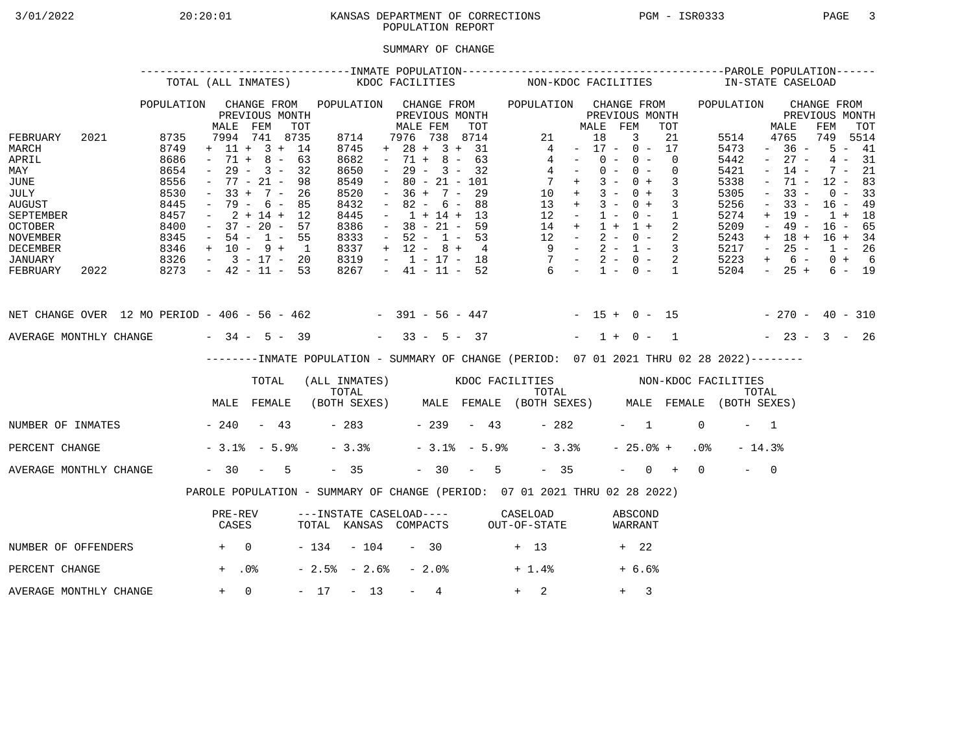## 3/01/2022 20:20:01 KANSAS DEPARTMENT OF CORRECTIONS PGM - ISR0333 PAGE 3 POPULATION REPORT

## SUMMARY OF CHANGE

|                                                                                                                                                                         |                                                                                                                    | TOTAL (ALL INMATES)                                                                                                                                                                                                                                                                                                   |                                                                                                                      |                                                                                                      | KDOC FACILITIES                                                                                                                                                                                                                                                                                                                    |                                                                     | NON-KDOC FACILITIES                                                                                                                                            |                                                                                                                                                                                                                                                                                                                                                            |                                                                                                                                                                                                                                                                                                                                                                           | IN-STATE CASELOAD                                                                                                                                                                                                                                                                                                                                                                             |
|-------------------------------------------------------------------------------------------------------------------------------------------------------------------------|--------------------------------------------------------------------------------------------------------------------|-----------------------------------------------------------------------------------------------------------------------------------------------------------------------------------------------------------------------------------------------------------------------------------------------------------------------|----------------------------------------------------------------------------------------------------------------------|------------------------------------------------------------------------------------------------------|------------------------------------------------------------------------------------------------------------------------------------------------------------------------------------------------------------------------------------------------------------------------------------------------------------------------------------|---------------------------------------------------------------------|----------------------------------------------------------------------------------------------------------------------------------------------------------------|------------------------------------------------------------------------------------------------------------------------------------------------------------------------------------------------------------------------------------------------------------------------------------------------------------------------------------------------------------|---------------------------------------------------------------------------------------------------------------------------------------------------------------------------------------------------------------------------------------------------------------------------------------------------------------------------------------------------------------------------|-----------------------------------------------------------------------------------------------------------------------------------------------------------------------------------------------------------------------------------------------------------------------------------------------------------------------------------------------------------------------------------------------|
| FEBRUARY<br>2021<br>MARCH<br>APRIL<br>MAY<br>JUNE<br>JULY<br><b>AUGUST</b><br>SEPTEMBER<br><b>OCTOBER</b><br><b>NOVEMBER</b><br>DECEMBER<br>JANUARY<br>FEBRUARY<br>2022 | POPULATION<br>8735<br>8749<br>8686<br>8654<br>8556<br>8530<br>8445<br>8457<br>8400<br>8345<br>8346<br>8326<br>8273 | CHANGE FROM<br>PREVIOUS MONTH<br>MALE<br>FEM<br>7994 741 8735<br>$+ 11 + 3 +$<br>$71 + 8 -$<br>$\sim$ $-$<br>$29 -$<br>$\sim$<br>$77 - 21 -$<br>$\sim$ $-$<br>$33 +$<br>$\sim$<br>79 -<br>$2 + 14 +$<br>$\sim$<br>$37 - 20 -$<br>$\sim$ $-$<br>$54 - 1 -$<br>$\sim$<br>$+$ 10 - 9 +<br>$-3 - 17 -$<br>$-42 - 11 - 53$ | <b>TOT</b><br>14<br>63<br>$3 -$<br>32<br>98<br>$7 -$<br>26<br>$6 -$<br>85<br>12<br>57<br>55<br>$\overline{1}$<br>-20 | 8714<br>8745<br>8682<br>8650<br>8549<br>8520<br>8432<br>8445<br>8386<br>8333<br>8337<br>8319<br>8267 | POPULATION CHANGE FROM<br>PREVIOUS MONTH<br>MALE FEM<br>7976 738<br>$28 +$<br>$+$<br>8<br>$-71 +$<br>$29 -$<br>$3 -$<br>$80 - 21 - 101$<br>$\sim$<br>$36 +$<br>$7 -$<br>$82 -$<br>6 –<br>$\sim$<br>$1 + 14 +$<br>$\sim$<br>$38 - 21 -$<br>$\sim$<br>$52 - 1 - 53$<br>$\sim$<br>$+ 12 - 8 +$<br>$-1$ $-17$ $-18$<br>$-41 - 11 - 52$ | TOT<br>8714<br>$3 + 31$<br>$-63$<br>32<br>29<br>88<br>13<br>59<br>4 | 21<br>4<br>4<br>$\sim$<br>4<br>$7 +$<br>10<br>$+$<br>13<br>$+$<br>12<br>$\sim$ $-$<br>14<br>$+$<br>12<br>$\sim$ $-$<br>$9 -$<br>$7 -$<br>$6^{6}$<br>$\sim$ $-$ | POPULATION CHANGE FROM<br>PREVIOUS MONTH<br>MALE FEM<br>TOT<br>18<br>3<br>21<br>$-17 -$<br>$0 -$<br>17<br>$0 -$<br>$0 -$<br>$\Omega$<br>$0 -$<br>$0 -$<br>0<br>$3 -$<br>$0 +$<br>3<br>$3 -$<br>$0 +$<br>3<br>$3 -$<br>$0 +$<br>3<br>$1 -$<br>$0 -$<br>1<br>$1 +$<br>$1 +$<br>2<br>$2 -$<br>$0 -$<br>2<br>$2 -$<br>$1 - 3$<br>$2 - 0 -$<br>2<br>$1 - 0 - 1$ | POPULATION<br>5514<br>5473<br>$\sim$<br>5442<br>$\overline{\phantom{0}}$<br>5421<br>$\overline{\phantom{a}}$<br>5338<br>$\overline{\phantom{a}}$<br>5305<br>$\overline{\phantom{a}}$<br>5256<br>$\overline{\phantom{a}}$<br>5274<br>$+$<br>5209<br>$\overline{\phantom{a}}$<br>5243<br>$+$<br>5217<br>$\overline{\phantom{a}}$<br>5223<br>$+$<br>5204<br>$\sim$ 100 $\mu$ | CHANGE FROM<br>PREVIOUS MONTH<br>FEM<br>MALE<br>TOT<br>4765<br>749<br>5514<br>$5 - 41$<br>$36 -$<br>$27 -$<br>4<br>31<br>$\sim$<br>$14 -$<br>$7 -$<br>21<br>71 -<br>$12 -$<br>83<br>$33 -$<br>$0 -$<br>33<br>$33 -$<br>$16 - 49$<br>19<br>18<br>$1 +$<br>$\overline{\phantom{m}}$<br>$16 - 65$<br>$49 -$<br>$18 +$<br>$16 + 34$<br>$25 -$<br>$1 - 26$<br>$0 + 6$<br>6 –<br>$25 +$<br>$6 - 19$ |
| NET CHANGE OVER 12 MO PERIOD - 406 - 56 - 462 - 391 - 56 - 447 - - 15 + 0 - 15                                                                                          |                                                                                                                    |                                                                                                                                                                                                                                                                                                                       |                                                                                                                      |                                                                                                      |                                                                                                                                                                                                                                                                                                                                    |                                                                     |                                                                                                                                                                |                                                                                                                                                                                                                                                                                                                                                            |                                                                                                                                                                                                                                                                                                                                                                           | $-270 - 40 - 310$                                                                                                                                                                                                                                                                                                                                                                             |
| AVERAGE MONTHLY CHANGE                                                                                                                                                  |                                                                                                                    | $-34 - 5 - 39$                                                                                                                                                                                                                                                                                                        |                                                                                                                      |                                                                                                      | $33 - 5 - 37$                                                                                                                                                                                                                                                                                                                      |                                                                     |                                                                                                                                                                | $1 + 0 -$<br>$\mathbf{1}$<br>--------INMATE POPULATION - SUMMARY OF CHANGE (PERIOD: 07 01 2021 THRU 02 28 2022)--------                                                                                                                                                                                                                                    |                                                                                                                                                                                                                                                                                                                                                                           | $-23 - 3 - 26$                                                                                                                                                                                                                                                                                                                                                                                |
|                                                                                                                                                                         |                                                                                                                    | TOTAL<br>MALE<br>FEMALE                                                                                                                                                                                                                                                                                               |                                                                                                                      | (ALL INMATES)<br>TOTAL                                                                               |                                                                                                                                                                                                                                                                                                                                    |                                                                     | TOTAL                                                                                                                                                          | (BOTH SEXES) MALE FEMALE (BOTH SEXES) MALE FEMALE (BOTH SEXES)                                                                                                                                                                                                                                                                                             | TOTAL                                                                                                                                                                                                                                                                                                                                                                     |                                                                                                                                                                                                                                                                                                                                                                                               |
| NUMBER OF INMATES                                                                                                                                                       |                                                                                                                    | $-240$                                                                                                                                                                                                                                                                                                                | $-43$                                                                                                                | $-283$                                                                                               | $-239$                                                                                                                                                                                                                                                                                                                             | $-43$                                                               | $-282$                                                                                                                                                         | $-1$                                                                                                                                                                                                                                                                                                                                                       | $\Omega$<br>$-1$                                                                                                                                                                                                                                                                                                                                                          |                                                                                                                                                                                                                                                                                                                                                                                               |
| PERCENT CHANGE                                                                                                                                                          |                                                                                                                    | $-3.1$ $-5.9$                                                                                                                                                                                                                                                                                                         |                                                                                                                      | $-3.3%$                                                                                              |                                                                                                                                                                                                                                                                                                                                    | $-3.1$ $-5.9$                                                       | $-3.3%$                                                                                                                                                        | $-25.0%$ +                                                                                                                                                                                                                                                                                                                                                 | .0%<br>$-14.3%$                                                                                                                                                                                                                                                                                                                                                           |                                                                                                                                                                                                                                                                                                                                                                                               |
| AVERAGE MONTHLY CHANGE                                                                                                                                                  |                                                                                                                    | $-30 - 5$                                                                                                                                                                                                                                                                                                             |                                                                                                                      | $-35$                                                                                                |                                                                                                                                                                                                                                                                                                                                    | $-30 - 5$                                                           | $-35$                                                                                                                                                          | $-$ 0 +                                                                                                                                                                                                                                                                                                                                                    | $\overline{0}$<br>$\overline{a}$ $\overline{a}$                                                                                                                                                                                                                                                                                                                           |                                                                                                                                                                                                                                                                                                                                                                                               |
|                                                                                                                                                                         |                                                                                                                    |                                                                                                                                                                                                                                                                                                                       |                                                                                                                      |                                                                                                      |                                                                                                                                                                                                                                                                                                                                    |                                                                     |                                                                                                                                                                | PAROLE POPULATION - SUMMARY OF CHANGE (PERIOD: 07 01 2021 THRU 02 28 2022)                                                                                                                                                                                                                                                                                 |                                                                                                                                                                                                                                                                                                                                                                           |                                                                                                                                                                                                                                                                                                                                                                                               |
|                                                                                                                                                                         |                                                                                                                    | PRE-REV<br>CASES                                                                                                                                                                                                                                                                                                      |                                                                                                                      | ---INSTATE CASELOAD---- CASELOAD<br>TOTAL KANSAS COMPACTS                                            |                                                                                                                                                                                                                                                                                                                                    |                                                                     | OUT-OF-STATE                                                                                                                                                   | ABSCOND<br>WARRANT                                                                                                                                                                                                                                                                                                                                         |                                                                                                                                                                                                                                                                                                                                                                           |                                                                                                                                                                                                                                                                                                                                                                                               |
| NUMBER OF OFFENDERS                                                                                                                                                     | $+$ 0                                                                                                              |                                                                                                                                                                                                                                                                                                                       |                                                                                                                      | $-134 - 104$                                                                                         | $-30$                                                                                                                                                                                                                                                                                                                              |                                                                     | $+$ 13                                                                                                                                                         | + 22                                                                                                                                                                                                                                                                                                                                                       |                                                                                                                                                                                                                                                                                                                                                                           |                                                                                                                                                                                                                                                                                                                                                                                               |
| PERCENT CHANGE                                                                                                                                                          |                                                                                                                    | $+$ .0%                                                                                                                                                                                                                                                                                                               |                                                                                                                      | $-2.5$ $-2.6$ $-$                                                                                    | - 2.0%                                                                                                                                                                                                                                                                                                                             |                                                                     | $+1.4%$                                                                                                                                                        | $+ 6.6%$                                                                                                                                                                                                                                                                                                                                                   |                                                                                                                                                                                                                                                                                                                                                                           |                                                                                                                                                                                                                                                                                                                                                                                               |
| AVERAGE MONTHLY CHANGE                                                                                                                                                  |                                                                                                                    | $+ 0$                                                                                                                                                                                                                                                                                                                 |                                                                                                                      | $-17 -13$                                                                                            | 4<br>$\frac{1}{2}$ and $\frac{1}{2}$                                                                                                                                                                                                                                                                                               |                                                                     | 2<br>$+$ $-$                                                                                                                                                   | 3<br>$+$                                                                                                                                                                                                                                                                                                                                                   |                                                                                                                                                                                                                                                                                                                                                                           |                                                                                                                                                                                                                                                                                                                                                                                               |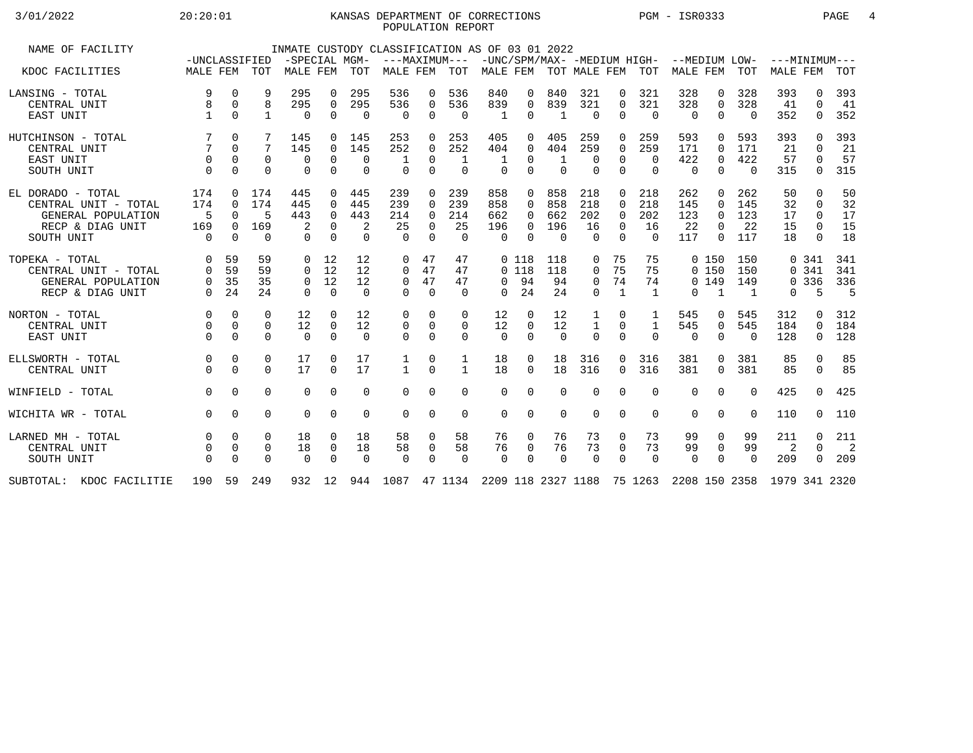## 3/01/2022 20:20:01 KANSAS DEPARTMENT OF CORRECTIONS PGM - ISR0333 PAGE 4 POPULATION REPORT

| NAME OF FACILITY            |                           |          |              | -SPECIAL MGM- |             |             | INMATE CUSTODY CLASSIFICATION AS OF 03 01 2022                                 |             |                      |              |          |                           |              |              |          | -UNC/SPM/MAX- -MEDIUM HIGH- --MEDIUM LOW- |              |          | $---MINTMINIM---$ |          |      |
|-----------------------------|---------------------------|----------|--------------|---------------|-------------|-------------|--------------------------------------------------------------------------------|-------------|----------------------|--------------|----------|---------------------------|--------------|--------------|----------|-------------------------------------------|--------------|----------|-------------------|----------|------|
| KDOC FACILITIES             | -UNCLASSIFIED<br>MALE FEM |          | TOT          | MALE FEM      |             | TOT         | MALE FEM                                                                       |             | ---MAXIMUM---<br>TOT |              |          | MALE FEM TOT MALE FEM TOT |              |              |          | <b>MALE FEM</b>                           |              | TOT      | MALE FEM          |          | TOT  |
| LANSING - TOTAL             | 9                         | 0        |              | 295           | 0           | 295         | 536                                                                            | 0           | 536                  | 840          | 0        | 840                       | 321          | 0            | 321      | 328                                       | 0            | 328      | 393               | $\Omega$ | 393  |
| CENTRAL UNIT                | 8                         | $\Omega$ | 8            | 295           | $\mathbf 0$ | 295         | 536                                                                            | $\mathbf 0$ | 536                  | 839          | $\Omega$ | 839                       | 321          | $\Omega$     | 321      | 328                                       | $\mathbf 0$  | 328      | 41                | $\Omega$ | 41   |
| EAST UNIT                   |                           | $\Omega$ | $\mathbf{1}$ | $\Omega$      | $\Omega$    | $\Omega$    | $\Omega$                                                                       | 0           | $\Omega$             | $\mathbf{1}$ | $\Omega$ | -1                        | $\Omega$     | $\Omega$     | $\Omega$ | $\Omega$                                  | $\Omega$     | $\Omega$ | 352               | $\Omega$ | 352  |
| HUTCHINSON - TOTAL          |                           | 0        |              | 145           | $\Omega$    | 145         | 253                                                                            | 0           | 253                  | 405          |          | 405                       | 259          | 0            | 259      | 593                                       | 0            | 593      | 393               | $\cap$   | 393  |
| CENTRAL UNIT                | $7\phantom{.0}$           | $\Omega$ | 7            | 145           | $\Omega$    | 145         | 252                                                                            | $\Omega$    | 252                  | 404          | $\Omega$ | 404                       | 259          | $\Omega$     | 259      | 171                                       | $\Omega$     | 171      | 21                | $\cap$   | 21   |
| EAST UNIT                   | $\Omega$                  | $\Omega$ | $\mathbf 0$  | 0             | $\mathbf 0$ | $\Omega$    |                                                                                | $\Omega$    | 1                    |              | 0        | -1                        | $\mathbf 0$  | $\mathbf 0$  | $\Omega$ | 422                                       | $\mathbf 0$  | 422      | 57                | $\Omega$ | 57   |
| SOUTH UNIT                  | $\Omega$                  | $\Omega$ | $\Omega$     | $\Omega$      | $\Omega$    | $\Omega$    | $\Omega$                                                                       | $\Omega$    | $\Omega$             | $\Omega$     | $\Omega$ | $\Omega$                  | $\Omega$     | $\Omega$     | $\Omega$ | 0                                         | $\Omega$     | $\Omega$ | 315               | $\Omega$ | 315  |
| EL DORADO - TOTAL           | 174                       | $\Omega$ | 174          | 445           | $\Omega$    | 445         | 239                                                                            | $\Omega$    | 239                  | 858          | $\Omega$ | 858                       | 218          | $\Omega$     | 218      | 262                                       | $\Omega$     | 262      | 50                | $\Omega$ | 50   |
| CENTRAL UNIT - TOTAL        | 174                       | $\Omega$ | 174          | 445           | $\Omega$    | 445         | 239                                                                            | $\Omega$    | 239                  | 858          | $\Omega$ | 858                       | 218          | $\Omega$     | 218      | 145                                       | $\Omega$     | 145      | 32                | $\Omega$ | 32   |
| GENERAL POPULATION          | 5                         | $\Omega$ |              | 443           | $\Omega$    | 443         | 214                                                                            | $\Omega$    | 214                  | 662          |          | 662                       | 202          | $\Omega$     | 202      | 123                                       | $\Omega$     | 123      | 17                | $\Omega$ | 17   |
| RECP & DIAG UNIT            | 169                       | $\Omega$ | 169          |               | $\Omega$    |             | 25                                                                             | $\Omega$    | 25                   | 196          | 0        | 196                       | 16           | $\Omega$     | 16       | 22                                        | $\Omega$     | 22       | 15                | $\Omega$ | 15   |
| SOUTH UNIT                  | $\Omega$                  | $\Omega$ | $\Omega$     | 0             | $\Omega$    | $\Omega$    | $\Omega$                                                                       | $\Omega$    | $\Omega$             | $\Omega$     | $\cap$   | $\Omega$                  | $\Omega$     | $\Omega$     | $\Omega$ | 117                                       | $\Omega$     | 117      | 18                | $\Omega$ | 18   |
| TOPEKA - TOTAL              | 0                         | 59       | 59           | 0             | 12          | 12          | 0                                                                              | 47          | 47                   |              | 0 118    | 118                       | 0            | 75           | 75       |                                           | 0, 150       | 150      |                   | 0.341    | 341  |
| CENTRAL UNIT - TOTAL        | 0                         | 59       | 59           | 0             | 12          | 12          | 0                                                                              | 47          | 47                   |              | $0$ 118  | 118                       | $\mathbf 0$  | 75           | 75       |                                           | 0, 150       | 150      |                   | 0.341    | 341  |
| GENERAL POPULATION          | 0                         | 35       | 35           | $\Omega$      | 12          | 12          | $\mathbf 0$                                                                    | 47          | 47                   | $\Omega$     | 94       | 94                        | 0            | 74           | 74       |                                           | 0, 149       | 149      |                   | 0 3 3 6  | 336  |
| RECP & DIAG UNIT            | $\Omega$                  | 24       | 24           | 0             | $\Omega$    | $\Omega$    | $\Omega$                                                                       | $\Omega$    | $\Omega$             | $\Omega$     | 24       | 24                        | $\Omega$     | $\mathbf{1}$ | 1        | 0                                         | $\mathbf{1}$ | 1        | $\Omega$          | 5        | $-5$ |
| NORTON - TOTAL              | $\Omega$                  | $\Omega$ | $\Omega$     | 12            | $\Omega$    | 12          | 0                                                                              | $\Omega$    | $\Omega$             | 12           | $\Omega$ | 12                        |              | 0            |          | 545                                       | 0            | 545      | 312               | $\Omega$ | 312  |
| CENTRAL UNIT                | $\Omega$                  | $\Omega$ | $\Omega$     | 12            | $\Omega$    | 12          | 0                                                                              | $\Omega$    | $\Omega$             | 12           | $\Omega$ | 12                        | $\mathbf{1}$ | $\Omega$     | 1        | 545                                       | $\mathbf 0$  | 545      | 184               | $\Omega$ | 184  |
| EAST UNIT                   | $\Omega$                  | $\Omega$ | $\Omega$     | $\Omega$      | $\Omega$    | $\Omega$    | $\Omega$                                                                       | $\Omega$    | $\Omega$             | $\Omega$     | $\Omega$ | $\Omega$                  | $\Omega$     | $\Omega$     | $\Omega$ | $\Omega$                                  | $\Omega$     | $\Omega$ | 128               | $\Omega$ | 128  |
| ELLSWORTH - TOTAL           | $\mathbf 0$               | $\Omega$ | 0            | 17            | $\Omega$    | 17          | 1                                                                              | 0           | 1                    | 18           | 0        | 18                        | 316          | 0            | 316      | 381                                       | $\Omega$     | 381      | 85                | $\Omega$ | 85   |
| CENTRAL UNIT                | $\Omega$                  | $\Omega$ | $\Omega$     | 17            | $\Omega$    | 17          | $\mathbf{1}$                                                                   | $\Omega$    | $\mathbf{1}$         | 18           | $\Omega$ | 18                        | 316          | 0            | 316      | 381                                       | $\Omega$     | 381      | 85                | $\Omega$ | 85   |
| WINFIELD - TOTAL            | $\Omega$                  | $\Omega$ | $\Omega$     | $\mathbf 0$   | $\mathbf 0$ | $\Omega$    | $\Omega$                                                                       | $\Omega$    | 0                    | $\Omega$     | $\Omega$ | $\Omega$                  | $\mathbf 0$  | $\Omega$     | $\Omega$ | 0                                         | $\mathbf 0$  | $\Omega$ | 425               | $\Omega$ | 425  |
| WICHITA WR - TOTAL          | $\Omega$                  | $\Omega$ | $\Omega$     | $\Omega$      | $\Omega$    | $\mathbf 0$ | $\Omega$                                                                       | $\Omega$    | 0                    | $\Omega$     | $\Omega$ | $\Omega$                  | $\Omega$     | 0            | $\Omega$ | 0                                         | $\Omega$     | $\Omega$ | 110               | $\Omega$ | 110  |
| LARNED MH - TOTAL           | $\Omega$                  | $\Omega$ | 0            | 18            | 0           | 18          | 58                                                                             | $\mathbf 0$ | 58                   | 76           | 0        | 76                        | 73           | 0            | 73       | 99                                        | 0            | 99       | 211               | $\Omega$ | 211  |
| CENTRAL UNIT                | 0                         | $\Omega$ | 0            | 18            | 0           | 18          | 58                                                                             | 0           | 58                   | 76           | 0        | 76                        | 73           | 0            | 73       | 99                                        | 0            | 99       | 2                 | $\Omega$ | -2   |
| SOUTH UNIT                  | $\Omega$                  | $\Omega$ | $\Omega$     | $\Omega$      | $\Omega$    | $\Omega$    | $\Omega$                                                                       | $\Omega$    | $\Omega$             | $\Omega$     | $\Omega$ | $\Omega$                  | $\Omega$     | $\Omega$     | $\Omega$ | $\Omega$                                  | $\Omega$     | $\Omega$ | 209               | $\Omega$ | 209  |
| SUBTOTAL:<br>KDOC FACILITIE | 190                       |          | 59 249       |               |             |             | 932 12 944 1087 47 1134 2209 118 2327 1188 75 1263 2208 150 2358 1979 341 2320 |             |                      |              |          |                           |              |              |          |                                           |              |          |                   |          |      |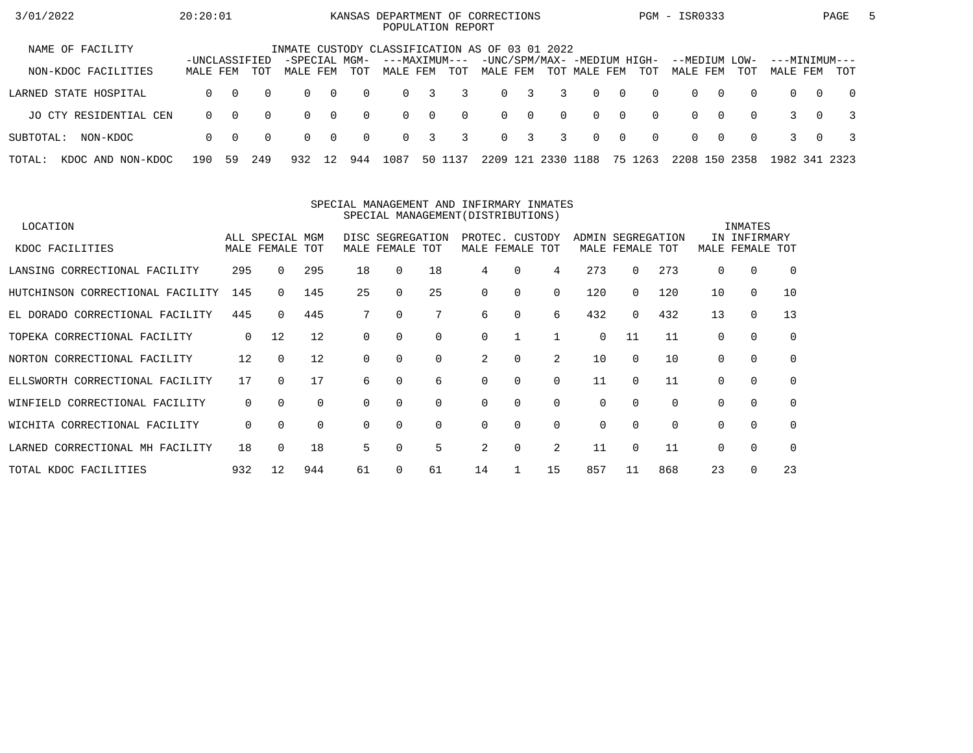| 3/01/2022                   | 20:20:01                  |          |          |                                                |                |          | KANSAS DEPARTMENT OF CORRECTIONS |                         | POPULATION REPORT |          |              |                |                                             |                |          | PGM - ISR0333             |          |          |                           |          | PAGE           | $\mathbf{b}$ |
|-----------------------------|---------------------------|----------|----------|------------------------------------------------|----------------|----------|----------------------------------|-------------------------|-------------------|----------|--------------|----------------|---------------------------------------------|----------------|----------|---------------------------|----------|----------|---------------------------|----------|----------------|--------------|
| NAME OF FACILITY            |                           |          |          | INMATE CUSTODY CLASSIFICATION AS OF 03 01 2022 |                |          |                                  |                         |                   |          |              |                |                                             |                |          |                           |          |          |                           |          |                |              |
| NON-KDOC FACILITIES         | -UNCLASSIFIED<br>MALE FEM |          | TOT      | -SPECIAL MGM-<br>MALE FEM                      |                | TOT      | ---MAXIMUM---<br>MALE FEM        |                         | TOT               | MALE FEM |              |                | -UNC/SPM/MAX- -MEDIUM HIGH-<br>TOT MALE FEM |                | TOT      | --MEDIUM LOW-<br>MALE FEM |          | TOT      | ---MINIMUM---<br>MALE FEM |          | TOT            |              |
| LARNED STATE HOSPITAL       | $\Omega$                  | $\Omega$ | $\Omega$ | $\Omega$                                       | $\bigcirc$     | $\Omega$ | $\Omega$                         | 3                       | 3                 |          | $0 \quad 3$  | $\overline{3}$ | $\Omega$                                    | $\overline{0}$ | $\Omega$ | $\Omega$                  | $\Omega$ | $\Omega$ | $\Omega$                  | $\Omega$ | $\overline{0}$ |              |
| JO CTY RESIDENTIAL CEN      | $\Omega$                  | $\Omega$ | $\Omega$ | $\Omega$                                       | $\overline{0}$ | $\Omega$ | $\Omega$                         | $\overline{0}$          | $\Omega$          |          | $0 \qquad 0$ | $\Omega$       | $\Omega$                                    | $\bigcap$      | $\Omega$ | $\Omega$                  | $\Omega$ | $\Omega$ |                           | $\Omega$ |                |              |
| SUBTOTAL:<br>NON-KDOC       | $\Omega$                  | $\Omega$ | $\Omega$ | $\Omega$                                       | $\overline{0}$ | $\Omega$ | $\Omega$                         | $\overline{\mathbf{3}}$ | 3                 |          | $0 \quad 3$  | $\overline{3}$ | $\Omega$                                    | $\overline{0}$ | $\Omega$ | $\Omega$                  | $\Omega$ | $\Omega$ |                           | $\Omega$ |                |              |
| TOTAL:<br>KDOC AND NON-KDOC | 190                       | 59       | 249      | 932                                            | 12             | 944      | 1087                             |                         | 50 1137           | 2209     | 121          | 2330           | 1188                                        |                | 75 1263  | 2208 150                  |          | 2358     | 1982 341 2323             |          |                |              |

#### SPECIAL MANAGEMENT AND INFIRMARY INMATESSPECIAL MANAGEMENT(DISTRIBUTIONS)

| LOCATION                          |     |                 |     |          |                  |          |          |                 |          |          |             |          |          | INMATES      |             |
|-----------------------------------|-----|-----------------|-----|----------|------------------|----------|----------|-----------------|----------|----------|-------------|----------|----------|--------------|-------------|
|                                   |     | ALL SPECIAL MGM |     |          | DISC SEGREGATION |          |          | PROTEC. CUSTODY |          | ADMIN    | SEGREGATION |          |          | IN INFIRMARY |             |
| KDOC FACILITIES                   |     | MALE FEMALE TOT |     |          | MALE FEMALE TOT  |          |          | MALE FEMALE TOT |          |          | MALE FEMALE | TOT      | MALE     | FEMALE       | TOT         |
| LANSING CORRECTIONAL FACILITY     | 295 | $\Omega$        | 295 | 18       | 0                | 18       | 4        | $\Omega$        | 4        | 273      | 0           | 273      | $\Omega$ | 0            | $\Omega$    |
| HUTCHINSON CORRECTIONAL FACILITY  | 145 |                 | 145 | 25       |                  | 25       | $\Omega$ | 0               | 0        | 120      | 0           | 120      | 10       | $\mathbf 0$  | 10          |
| EL DORADO CORRECTIONAL FACILITY   | 445 | $\Omega$        | 445 |          | 0                |          | 6        | 0               | 6        | 432      | 0           | 432      | 13       | $\mathbf 0$  | 13          |
| TOPEKA CORRECTIONAL FACILITY      | 0   | 12              | 12  | $\Omega$ |                  | $\Omega$ | $\Omega$ |                 |          | $\Omega$ | 11          | 11       | $\Omega$ | $\Omega$     | $\mathbf 0$ |
| NORTON CORRECTIONAL FACILITY      | 12  | $\Omega$        | 12  |          |                  | $\Omega$ | 2        | 0               | 2        | 10       | $\Omega$    | 10       | $\Omega$ | $\Omega$     | $\Omega$    |
| ELLSWORTH CORRECTIONAL FACILITY   | 17  | $\Omega$        | 17  | 6        |                  | 6        | $\Omega$ | 0               | $\Omega$ | 11       | $\Omega$    | 11       |          | $\Omega$     | $\mathbf 0$ |
| CORRECTIONAL FACILITY<br>WINFIELD | 0   | $\Omega$        | 0   | $\Omega$ | 0                | 0        | 0        | 0               | 0        | 0        | $\Omega$    | $\Omega$ | $\Omega$ | 0            | 0           |
| WICHITA CORRECTIONAL FACILITY     | 0   | $\Omega$        | 0   | $\Omega$ | $\Omega$         | $\Omega$ | $\Omega$ | $\Omega$        | $\Omega$ | 0        | $\Omega$    | $\Omega$ | $\Omega$ | $\Omega$     | $\Omega$    |
| LARNED CORRECTIONAL MH FACILITY   | 18  | $\Omega$        | 18  | 5        |                  | 5        | 2        | 0               | 2        | 11       | $\Omega$    | 11       | $\Omega$ | $\mathbf 0$  | $\Omega$    |
| TOTAL KDOC FACILITIES             | 932 | 12              | 944 | 61       |                  | 61       | 14       |                 | 15       | 857      | 11          | 868      | 23       | $\Omega$     | 23          |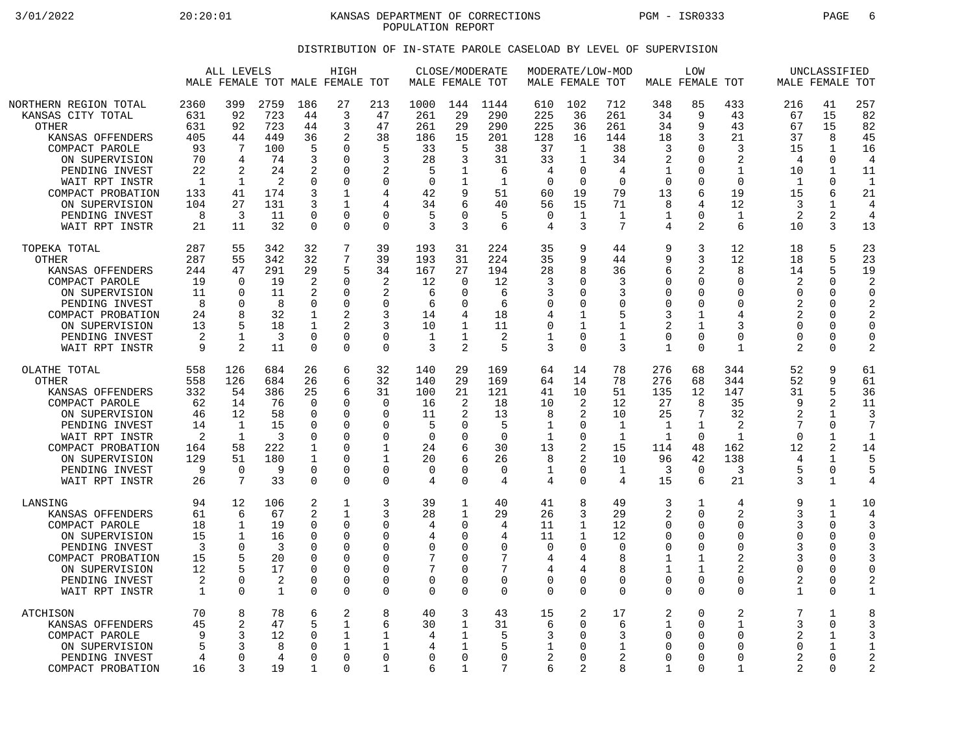3/01/2022 20:20:01 KANSAS DEPARTMENT OF CORRECTIONS PGM - ISR0333 PAGE 6 POPULATION REPORT

## DISTRIBUTION OF IN-STATE PAROLE CASELOAD BY LEVEL OF SUPERVISION

|                                                                                                                                                                                                                                   | ALL LEVELS<br>HIGH<br>MALE FEMALE TOT MALE FEMALE TOT                                |                                                                                              |                                                                             |                                                                                           |                                                                                                         | CLOSE/MODERATE<br>MALE FEMALE TOT                                                                   |                                                                              |                                                                                    | MODERATE/LOW-MOD<br>MALE FEMALE TOT                                            |                                                                                       | MALE FEMALE TOT                                                                   | LOW                                                                                   |                                                                                                |                                                                                                                 | UNCLASSIFIED<br>MALE FEMALE TOT                                                                    |                                                                                           |                                                                                             |                                                                                           |
|-----------------------------------------------------------------------------------------------------------------------------------------------------------------------------------------------------------------------------------|--------------------------------------------------------------------------------------|----------------------------------------------------------------------------------------------|-----------------------------------------------------------------------------|-------------------------------------------------------------------------------------------|---------------------------------------------------------------------------------------------------------|-----------------------------------------------------------------------------------------------------|------------------------------------------------------------------------------|------------------------------------------------------------------------------------|--------------------------------------------------------------------------------|---------------------------------------------------------------------------------------|-----------------------------------------------------------------------------------|---------------------------------------------------------------------------------------|------------------------------------------------------------------------------------------------|-----------------------------------------------------------------------------------------------------------------|----------------------------------------------------------------------------------------------------|-------------------------------------------------------------------------------------------|---------------------------------------------------------------------------------------------|-------------------------------------------------------------------------------------------|
| NORTHERN REGION TOTAL<br>KANSAS CITY TOTAL<br><b>OTHER</b><br>KANSAS OFFENDERS<br>COMPACT PAROLE<br>ON SUPERVISION<br>PENDING INVEST<br>WAIT RPT INSTR<br>COMPACT PROBATION<br>ON SUPERVISION<br>PENDING INVEST<br>WAIT RPT INSTR | 2360<br>631<br>631<br>405<br>93<br>70<br>22<br>$\mathbf{1}$<br>133<br>104<br>8<br>21 | 399<br>92<br>92<br>44<br>7<br>4<br>2<br>1<br>41<br>27<br>3<br>11                             | 2759<br>723<br>723<br>449<br>100<br>74<br>24<br>2<br>174<br>131<br>11<br>32 | 186<br>44<br>44<br>36<br>5<br>3<br>2<br>0<br>3<br>3<br>$\mathbf 0$<br>$\Omega$            | 27<br>3<br>3<br>2<br>$\Omega$<br>$\Omega$<br>$\Omega$<br>$\Omega$<br>1<br>1<br>$\Omega$<br>$\Omega$     | 213<br>47<br>47<br>38<br>5<br>3<br>2<br>$\Omega$<br>4<br>4<br>$\mathbf 0$<br>$\Omega$               | 1000<br>261<br>261<br>186<br>33<br>28<br>5<br>$\Omega$<br>42<br>34<br>5<br>3 | 144<br>29<br>29<br>15<br>5<br>3<br>1<br>9<br>∩<br>3                                | 1144<br>290<br>290<br>201<br>38<br>31<br>6<br>1<br>51<br>40<br>5<br>6          | 610<br>225<br>225<br>128<br>37<br>33<br>4<br>$\Omega$<br>60<br>56<br>$\mathbf 0$<br>4 | 102<br>36<br>36<br>16<br>1<br>1<br>0<br>$\Omega$<br>19<br>15<br>$\mathbf{1}$<br>3 | 712<br>261<br>261<br>144<br>38<br>34<br>4<br>$\Omega$<br>79<br>71<br>$\mathbf 1$<br>7 | 348<br>34<br>34<br>18<br>3<br>2<br>1<br>$\Omega$<br>13<br>8<br>1<br>4                          | 85<br>9<br>9<br>3<br>$\Omega$<br>$\Omega$<br>0<br>$\Omega$<br>6<br>4<br>$\mathbf 0$<br>$\overline{2}$           | 433<br>43<br>43<br>21<br>3<br>$\overline{2}$<br>1<br>$\Omega$<br>19<br>12<br>1<br>6                | 216<br>67<br>67<br>37<br>15<br>4<br>10<br>$\mathbf{1}$<br>15<br>3<br>$\overline{2}$<br>10 | 41<br>15<br>15<br>8<br>$\mathbf{1}$<br>$\Omega$<br>1<br>$\Omega$<br>6<br>1<br>2<br>3        | 257<br>82<br>82<br>45<br>16<br>4<br>11<br>$\mathbf{1}$<br>21<br>4<br>$\overline{4}$<br>13 |
| TOPEKA TOTAL<br><b>OTHER</b><br>KANSAS OFFENDERS<br>COMPACT PAROLE<br>ON SUPERVISION<br>PENDING INVEST<br>COMPACT PROBATION<br>ON SUPERVISION<br>PENDING INVEST<br>WAIT RPT INSTR                                                 | 287<br>287<br>244<br>19<br>11<br>8<br>24<br>13<br>2<br>9                             | 55<br>55<br>47<br>$\cap$<br>$\Omega$<br>$\Omega$<br>8<br>5<br>$\mathbf{1}$<br>$\mathfrak{D}$ | 342<br>342<br>291<br>19<br>11<br>8<br>32<br>18<br>$\overline{3}$<br>11      | 32<br>32<br>29<br>2<br>2<br>$\Omega$<br>1<br>$\Omega$<br>$\Omega$                         | 7<br>7<br>5<br>$\Omega$<br>$\Omega$<br>$\Omega$<br>$\Omega$<br>$\Omega$                                 | 39<br>39<br>34<br>2<br>$\overline{2}$<br>$\Omega$<br>3<br>3<br>$\mathbf 0$<br>$\Omega$              | 193<br>193<br>167<br>12<br>6<br>6<br>14<br>10<br>1<br>3                      | 31<br>31<br>27<br>$\Omega$<br>$\Omega$<br>U<br>1<br>$\mathbf{1}$<br>$\mathfrak{D}$ | 224<br>224<br>194<br>12<br>6<br>6<br>18<br>11<br>2<br>5                        | 35<br>35<br>28<br>3<br>3<br>$\Omega$<br>$\overline{4}$<br>0<br>1<br>3                 | 9<br>9<br>8<br>$\Omega$<br>0<br>0<br>1<br>1<br>0<br>$\Omega$                      | 44<br>44<br>36<br>3<br>3<br>$\Omega$<br>5<br>1<br>$\mathbf 1$<br>3                    | 9<br>9<br>6<br>∩<br>$\Omega$<br>$\Omega$<br>3<br>$\overline{2}$<br>$\mathbf 0$<br>$\mathbf{1}$ | 3<br>3<br>$\overline{2}$<br>$\mathbf 0$<br>$\Omega$<br>$\Omega$<br>1<br>$\mathbf{1}$<br>$\mathbf 0$<br>$\Omega$ | 12<br>12<br>8<br>$\mathbf 0$<br>$\mathbf 0$<br>$\Omega$<br>4<br>ζ<br>$\Omega$<br>$\mathbf{1}$      | 18<br>18<br>14<br>2<br>$\Omega$<br>2<br>$\overline{c}$<br>$\Omega$<br>$\Omega$<br>2       | 5<br>5<br>5<br>0<br>$\Omega$<br>$\Omega$<br>$\mathbf 0$<br>$\Omega$<br>$\Omega$<br>$\Omega$ | 23<br>23<br>19<br>2<br>$\Omega$<br>2<br>2<br>$\Omega$<br>$\mathbf 0$<br>$\overline{2}$    |
| OLATHE TOTAL<br><b>OTHER</b><br>KANSAS OFFENDERS<br>COMPACT PAROLE<br>ON SUPERVISION<br>PENDING INVEST<br>WAIT RPT INSTR<br>COMPACT PROBATION<br>ON SUPERVISION<br>PENDING INVEST<br>WAIT RPT INSTR                               | 558<br>558<br>332<br>62<br>46<br>14<br>$\overline{2}$<br>164<br>129<br>9<br>26       | 126<br>126<br>54<br>14<br>12<br>1<br>$\mathbf{1}$<br>58<br>51<br>$\Omega$<br>7               | 684<br>684<br>386<br>76<br>58<br>15<br>3<br>222<br>180<br>9<br>33           | 26<br>26<br>25<br>$\Omega$<br>0<br>0<br>$\Omega$<br>1<br>1<br>$\mathbf 0$<br>$\Omega$     | 6<br>6<br>6<br>$\Omega$<br>0<br>$\Omega$<br>$\Omega$<br>$\Omega$<br>$\Omega$<br>$\mathbf 0$<br>$\Omega$ | 32<br>32<br>31<br>$\mathbf 0$<br>$\Omega$<br>0<br>$\mathbf 0$<br>1<br>1<br>$\mathbf 0$<br>$\Omega$  | 140<br>140<br>100<br>16<br>11<br>5<br>$\Omega$<br>24<br>20<br>0<br>4         | 29<br>29<br>21<br>2<br>2<br>∩<br>O<br>6<br>6<br>0<br>$\Omega$                      | 169<br>169<br>121<br>18<br>13<br>5<br>$\Omega$<br>30<br>26<br>$\mathbf 0$<br>4 | 64<br>64<br>41<br>10<br>8<br>1<br>1<br>13<br>8<br>1<br>4                              | 14<br>14<br>10<br>2<br>2<br>0<br>0<br>2<br>2<br>0<br>0                            | 78<br>78<br>51<br>12<br>10<br>1<br>$\mathbf{1}$<br>15<br>10<br>1<br>4                 | 276<br>276<br>135<br>27<br>25<br>1<br>$\mathbf{1}$<br>114<br>96<br>3<br>15                     | 68<br>68<br>12<br>8<br>7<br>$\mathbf{1}$<br>$\Omega$<br>48<br>42<br>$\mathbf 0$<br>6                            | 344<br>344<br>147<br>35<br>32<br>2<br>$\mathbf{1}$<br>162<br>138<br>3<br>21                        | 52<br>52<br>31<br>9<br>2<br>$\cap$<br>12<br>4<br>5<br>3                                   | 9<br>9<br>5<br>2<br>1<br>0<br>1<br>2<br>1<br>0<br>$\mathbf{1}$                              | 61<br>61<br>36<br>11<br>3<br>7<br>1<br>14<br>5<br>5<br>4                                  |
| LANSING<br>KANSAS OFFENDERS<br>COMPACT PAROLE<br>ON SUPERVISION<br>PENDING INVEST<br>COMPACT PROBATION<br>ON SUPERVISION<br>PENDING INVEST<br>WAIT RPT INSTR                                                                      | 94<br>61<br>18<br>15<br>3<br>15<br>12<br>2<br>$\mathbf{1}$                           | 12<br>6<br>$\mathbf 1$<br>-1<br>$\Omega$<br>5<br>$\Omega$<br>$\Omega$                        | 106<br>67<br>19<br>16<br>3<br>20<br>17<br>2<br>1                            | 2<br>2<br>$\mathbf 0$<br>$\Omega$<br>$\Omega$<br>$\Omega$<br>$\Omega$<br>0<br>$\mathbf 0$ | 1<br>1<br>$\mathbf 0$<br>$\Omega$<br>$\Omega$<br>$\Omega$<br>$\Omega$<br>0<br>$\mathbf 0$               | 3<br>3<br>$\mathbf 0$<br>$\Omega$<br>$\Omega$<br>$\Omega$<br>$\Omega$<br>$\mathbf 0$<br>$\mathbf 0$ | 39<br>28<br>4<br>4<br>0<br>7<br>7<br>0<br>0                                  | 1<br>1<br>$\Omega$<br>U<br>$\Omega$<br>U<br>$\Omega$<br>$\Omega$                   | 40<br>29<br>4<br>4<br>$\mathbf 0$<br>7<br>7<br>$\mathbf 0$<br>$\Omega$         | 41<br>26<br>11<br>11<br>$\mathbf 0$<br>4<br>4<br>0<br>$\mathbf 0$                     | 8<br>3<br>1<br>1<br>0<br>4<br>4<br>0<br>0                                         | 49<br>29<br>12<br>12<br>$\Omega$<br>8<br>8<br>$\Omega$<br>$\Omega$                    | 3<br>2<br>$\Omega$<br>$\Omega$<br>$\Omega$<br>1<br>1<br>$\mathbf 0$<br>$\Omega$                | 1<br>$\Omega$<br>$\Omega$<br>$\Omega$<br>$\Omega$<br>1<br>$\mathbf{1}$<br>$\mathbf 0$<br>$\Omega$               | 4<br>2<br>$\mathbf 0$<br>$\Omega$<br>$\mathbf 0$<br>2<br>$\overline{2}$<br>$\mathbf 0$<br>$\Omega$ | 9<br>3<br>3<br>$\Omega$<br>3<br>3<br>$\Omega$<br>2<br>$\mathbf{1}$                        | 1<br>1<br>0<br>$\Omega$<br>$\mathbf 0$<br>$\Omega$<br>0<br>0<br>$\mathbf 0$                 | 10<br>4<br>3<br>$\Omega$<br>3<br>$\mathbf 0$<br>2<br>$\mathbf{1}$                         |
| ATCHISON<br>KANSAS OFFENDERS<br>COMPACT PAROLE<br>ON SUPERVISION<br>PENDING INVEST<br>COMPACT PROBATION                                                                                                                           | 70<br>45<br>9<br>5<br>4<br>16                                                        | 8<br>$\overline{2}$<br>3<br>3<br>$\Omega$<br>3                                               | 78<br>47<br>12<br>8<br>4<br>19                                              | 6<br>5<br>0<br>0<br>$\cap$<br>1                                                           | $\overline{c}$<br>1<br>$\mathbf{1}$<br>1<br>$\mathbf 0$<br>$\Omega$                                     | 8<br>6<br>1<br>1<br>$\mathbf 0$<br>1                                                                | 40<br>30<br>4<br>4<br>0<br>6                                                 | 3<br>1<br>1<br>1<br>∩<br>1                                                         | 43<br>31<br>5<br>5<br>0<br>7                                                   | 15<br>6<br>3<br>1<br>$\overline{2}$<br>6                                              | 2<br>0<br>0<br>0<br>0<br>2                                                        | 17<br>6<br>3<br>1<br>2<br>8                                                           | 2<br>1<br>$\mathbf 0$<br>$\Omega$<br>∩<br>1                                                    | $\mathbf 0$<br>$\Omega$<br>$\Omega$<br>$\Omega$<br>0<br>$\Omega$                                                | $\overline{2}$<br>$\mathbf{1}$<br>$\mathbf 0$<br>$\Omega$<br>$\Omega$<br>$\mathbf{1}$              | 7<br>3<br>2<br>$\Omega$<br>2<br>2                                                         | 1<br>$\Omega$<br>1<br>1<br>0<br>0                                                           | 8<br>3<br>3<br>$\overline{2}$<br>$\overline{2}$                                           |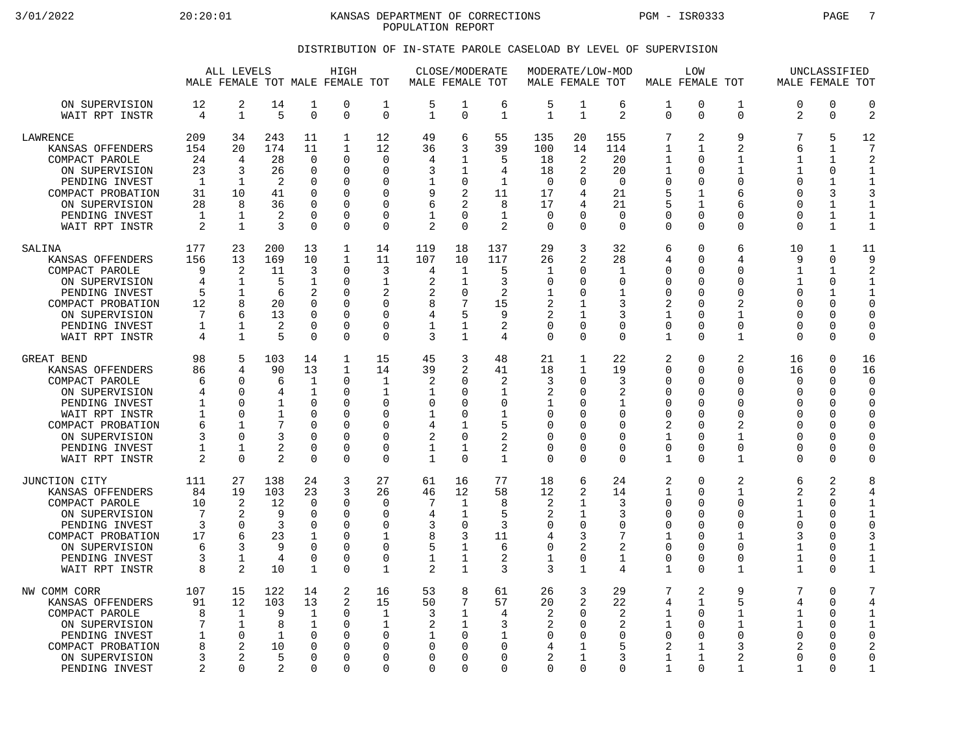3/01/2022 20:20:01 KANSAS DEPARTMENT OF CORRECTIONS PGM - ISR0333 PAGE 7 POPULATION REPORT

## DISTRIBUTION OF IN-STATE PAROLE CASELOAD BY LEVEL OF SUPERVISION

|                                                                                                                                                                                   |                                                    | ALL LEVELS<br>MALE FEMALE TOT MALE FEMALE TOT                                                |                                                                           |                                                                                                         | HIGH                                                                              |                                                                                                   | MALE FEMALE TOT                                                                   | CLOSE/MODERATE                                                                                              |                                                                        | MALE FEMALE TOT                                          |                                                                                                | MODERATE/LOW-MOD                                                             |                                                                                                                             | <b>LOW</b><br>MALE FEMALE TOT                                        |                                                                                                                        | MALE FEMALE TOT                                                    | UNCLASSIFIED                                                                                           |                                                                                                                |
|-----------------------------------------------------------------------------------------------------------------------------------------------------------------------------------|----------------------------------------------------|----------------------------------------------------------------------------------------------|---------------------------------------------------------------------------|---------------------------------------------------------------------------------------------------------|-----------------------------------------------------------------------------------|---------------------------------------------------------------------------------------------------|-----------------------------------------------------------------------------------|-------------------------------------------------------------------------------------------------------------|------------------------------------------------------------------------|----------------------------------------------------------|------------------------------------------------------------------------------------------------|------------------------------------------------------------------------------|-----------------------------------------------------------------------------------------------------------------------------|----------------------------------------------------------------------|------------------------------------------------------------------------------------------------------------------------|--------------------------------------------------------------------|--------------------------------------------------------------------------------------------------------|----------------------------------------------------------------------------------------------------------------|
| ON SUPERVISION<br>WAIT RPT INSTR                                                                                                                                                  | 12<br>4                                            | 2<br>$\mathbf 1$                                                                             | 14<br>5                                                                   | 1<br>$\Omega$                                                                                           | 0<br>$\Omega$                                                                     | 1<br>$\Omega$                                                                                     | 5<br>$\mathbf{1}$                                                                 | 1<br>$\Omega$                                                                                               | 6<br>$\mathbf{1}$                                                      | 5<br>$\mathbf{1}$                                        | $\mathbf 1$<br>$\mathbf{1}$                                                                    | 6<br>2                                                                       | 1<br>$\Omega$                                                                                                               | 0<br>$\Omega$                                                        | $\mathbf 1$<br>$\Omega$                                                                                                | 0<br>2                                                             | $\mathbf 0$<br>$\Omega$                                                                                | $\mathbf 0$<br>$\overline{c}$                                                                                  |
| LAWRENCE<br>KANSAS OFFENDERS<br>COMPACT PAROLE<br>ON SUPERVISION<br>PENDING INVEST<br>COMPACT PROBATION<br>ON SUPERVISION<br>PENDING INVEST<br>WAIT RPT INSTR                     | 209<br>154<br>24<br>23<br>-1<br>31<br>28<br>1<br>2 | 34<br>20<br>4<br>3<br>-1<br>10<br>8<br>1<br>$\mathbf{1}$                                     | 243<br>174<br>28<br>26<br>2<br>41<br>36<br>2<br>3                         | 11<br>11<br>$\Omega$<br>$\mathbf 0$<br>$\Omega$<br>$\Omega$<br>$\Omega$<br>$\mathbf 0$<br>$\Omega$      | $\mathbf{1}$<br>$\mathbf{1}$<br>$\Omega$<br>0<br>O<br>0<br>O<br>O<br>$\Omega$     | 12<br>12<br>$\Omega$<br>$\mathbf 0$<br>$\Omega$<br>$\Omega$<br>$\Omega$<br>$\Omega$<br>$\Omega$   | 49<br>36<br>4<br>3<br>9<br>6<br>1<br>$\overline{2}$                               | 6<br>3<br>1<br>1<br>0<br>$\overline{2}$<br>$\overline{2}$<br>$\cap$<br>$\Omega$                             | 55<br>39<br>5<br>4<br>$\mathbf{1}$<br>11<br>8<br>$\mathbf{1}$<br>2     | 135<br>100<br>18<br>18<br>$\Omega$<br>17<br>17<br>0<br>0 | 20<br>14<br>2<br>2<br><sup>0</sup><br>4<br>4<br>$\Omega$                                       | 155<br>114<br>20<br>20<br>$\Omega$<br>21<br>21<br>$\overline{0}$<br>$\Omega$ | 7<br>$\mathbf{1}$<br>1<br>$\mathbf 1$<br>$\mathbf 0$<br>5<br>5<br>0<br>$\mathbf 0$                                          | 2<br>1<br>U<br>0<br>$\Omega$<br>1<br>1<br>$\Omega$<br>$\Omega$       | 9<br>$\overline{2}$<br>1<br>$\mathbf{1}$<br>$\Omega$<br>6<br>6<br>0<br>$\Omega$                                        | 7<br>6<br>$\mathbf{1}$<br>1<br>$\Omega$<br>U<br>U<br>0<br>$\Omega$ | 5<br>1<br>1<br>0<br>1<br>3<br>$\mathbf{1}$<br>$\mathbf{1}$<br>$\mathbf{1}$                             | 12<br>7<br>$\overline{c}$<br>$\mathbf{1}$<br>$\mathbf{1}$<br>3<br>$\mathbf{1}$<br>$\mathbf{1}$<br>$\mathbf{1}$ |
| SALINA<br>KANSAS OFFENDERS<br>COMPACT PAROLE<br>ON SUPERVISION<br>PENDING INVEST<br>COMPACT PROBATION<br>ON SUPERVISION<br>PENDING INVEST<br>WAIT RPT INSTR                       | 177<br>156<br>9<br>4<br>5<br>12<br>7<br>1<br>4     | 23<br>13<br>2<br>$\mathbf{1}$<br>$\mathbf 1$<br>8<br>6<br>1<br>$\mathbf{1}$                  | 200<br>169<br>11<br>5<br>6<br>20<br>13<br>2<br>5                          | 13<br>10<br>3<br>1<br>$\overline{2}$<br>$\Omega$<br>$\mathbf 0$<br>$\Omega$<br>$\Omega$                 | $\mathbf{1}$<br>$\mathbf{1}$<br>$\Omega$<br>0<br>0<br>O<br>0<br>0<br>U            | 14<br>11<br>3<br>1<br>2<br>$\Omega$<br>0<br>0<br>$\Omega$                                         | 119<br>107<br>4<br>2<br>8<br>4<br>1<br>3                                          | 18<br>10<br>1<br>1<br>$\mathbf 0$<br>7<br>5<br>1<br>1                                                       | 137<br>117<br>5<br>3<br>2<br>15<br>9<br>2<br>4                         | 29<br>26<br>1<br>0<br>1<br>2<br>2<br>0<br>0              | 3<br>2<br>$\Omega$<br><sup>0</sup><br>$\Omega$<br>1<br>$\Omega$<br>$\Omega$                    | 32<br>28<br>1<br>0<br>$\mathbf{1}$<br>3<br>3<br>0<br>$\Omega$                | 6<br>4<br>$\mathbf 0$<br>0<br>$\mathbf 0$<br>2<br>1<br>$\mathbf 0$<br>1                                                     | 0<br>$\Omega$<br>$\Omega$<br>U<br>U<br>U<br>0<br>$\Omega$<br>U       | 6<br>4<br>$\Omega$<br>$\Omega$<br>$\mathbf 0$<br>2<br>$\mathbf{1}$<br>$\mathbf 0$<br>$\mathbf 1$                       | 10<br>9<br>1<br>1<br>$\Omega$<br>U<br>0<br>$\Omega$<br>U           | $\mathbf{1}$<br>$\Omega$<br>1<br>$\Omega$<br>$\mathbf{1}$<br>$\Omega$<br>$\Omega$<br>0<br>$\Omega$     | 11<br>9<br>2<br>$\mathbf{1}$<br>$\mathbf{1}$<br>$\mathbf 0$<br>$\Omega$<br>$\overline{0}$<br>$\mathbf 0$       |
| GREAT BEND<br>KANSAS OFFENDERS<br>COMPACT PAROLE<br>ON SUPERVISION<br>PENDING INVEST<br>WAIT RPT INSTR<br>COMPACT PROBATION<br>ON SUPERVISION<br>PENDING INVEST<br>WAIT RPT INSTR | 98<br>86<br>6<br>4<br>1<br>1<br>6<br>3<br>1<br>2   | 5<br>$\overline{4}$<br>∩<br>$\Omega$<br>$\Omega$<br>$\Omega$<br>$\Omega$<br>1<br>$\mathbf 0$ | 103<br>90<br>6<br>4<br>1<br>$\mathbf{1}$<br>7<br>3<br>2<br>$\overline{2}$ | 14<br>13<br>1<br>$\mathbf 1$<br>$\Omega$<br>$\Omega$<br>$\Omega$<br>$\Omega$<br>$\Omega$<br>$\mathbf 0$ | $\mathbf 1$<br>$\mathbf{1}$<br>$\Omega$<br>0<br>O<br>0<br>0<br>0<br>$\Omega$<br>0 | 15<br>14<br>$\mathbf{1}$<br>1<br>$\Omega$<br>$\Omega$<br>$\Omega$<br>$\Omega$<br>0<br>$\mathbf 0$ | 45<br>39<br>$\overline{2}$<br>1<br>$\Omega$<br>1<br>4<br>$\overline{2}$<br>1<br>1 | 3<br>$\overline{2}$<br>$\Omega$<br>$\Omega$<br>$\Omega$<br>$\Omega$<br>1<br>$\mathbf 0$<br>1<br>$\mathbf 0$ | 48<br>41<br>2<br>$\mathbf{1}$<br>0<br>1<br>5<br>2<br>2<br>$\mathbf{1}$ | 21<br>18<br>3<br>2<br>1<br>0<br>0<br>0<br>0<br>0         | 1<br>$\mathbf{1}$<br><sup>0</sup><br>$\Omega$<br><sup>0</sup><br>$\Omega$<br><sup>0</sup><br>0 | 22<br>19<br>3<br>2<br>1<br>0<br>0<br>$\mathbf 0$<br>0<br>$\mathbf 0$         | 2<br>$\mathbf 0$<br>$\Omega$<br>$\mathbf 0$<br>$\Omega$<br>$\mathbf 0$<br>2<br>1<br>$\mathbf 0$<br>$\mathbf{1}$             | 0<br>$\Omega$<br>U<br>0<br>U<br>U<br>$\Omega$<br>$\Omega$<br>0<br>0  | 2<br>$\mathbf 0$<br>$\Omega$<br>$\Omega$<br>$\Omega$<br>$\mathbf 0$<br>2<br>$\mathbf 1$<br>$\mathbf 0$<br>$\mathbf{1}$ | 16<br>16<br>$\Omega$<br>0<br>O<br>$\Omega$<br>U<br>0<br>0<br>0     | 0<br>$\Omega$<br>$\Omega$<br>$\Omega$<br>$\Omega$<br>$\Omega$<br>$\Omega$<br>$\Omega$<br>$\Omega$<br>0 | 16<br>16<br>$\bigcap$<br>$\Omega$<br>$\Omega$<br>$\Omega$<br>$\Omega$<br>0<br>0<br>0                           |
| JUNCTION CITY<br>KANSAS OFFENDERS<br>COMPACT PAROLE<br>ON SUPERVISION<br>PENDING INVEST<br>COMPACT PROBATION<br>ON SUPERVISION<br>PENDING INVEST<br>WAIT RPT INSTR                | 111<br>84<br>10<br>7<br>3<br>17<br>6<br>3<br>8     | 27<br>19<br>$\overline{2}$<br>$\overline{2}$<br>$\Omega$<br>6<br>3<br>$\mathbf 1$<br>2       | 138<br>103<br>12<br>9<br>3<br>23<br>9<br>4<br>10                          | 24<br>23<br>$\cap$<br>$\Omega$<br>$\Omega$<br>1<br>$\Omega$<br>$\mathbf 0$<br>$\mathbf 1$               | 3<br>3<br>0<br>0<br>0<br>0<br>O<br>0<br>0                                         | 27<br>26<br>$\Omega$<br>$\mathbf 0$<br>$\Omega$<br>$\mathbf{1}$<br>$\Omega$<br>$\mathbf 0$<br>1   | 61<br>46<br>7<br>4<br>3<br>8<br>5<br>1<br>$\overline{2}$                          | 16<br>12<br>1<br>1<br>$\Omega$<br>3<br>1<br>1<br>$\mathbf{1}$                                               | 77<br>58<br>8<br>5<br>3<br>11<br>6<br>2<br>3                           | 18<br>12<br>2<br>2<br>0<br>4<br>0<br>1<br>3              | 6<br>2<br>1<br>$\mathbf{1}$<br>$\Omega$<br>3<br>2<br>$\Omega$<br>1                             | 24<br>14<br>3<br>3<br>$\Omega$<br>7<br>2<br>1<br>4                           | 2<br>$\mathbf{1}$<br>$\mathbf 0$<br>$\mathbf 0$<br>$\mathbf 0$<br>$\mathbf 1$<br>$\mathbf 0$<br>$\mathbf 0$<br>$\mathbf{1}$ | 0<br>$\Omega$<br>U<br>0<br>$\Omega$<br>U<br>U<br>0<br>$\Omega$       | 2<br>$\mathbf{1}$<br>$\Omega$<br>$\mathbf 0$<br>$\Omega$<br>$\mathbf 1$<br>$\Omega$<br>$\Omega$<br>$\mathbf{1}$        | 6<br>2<br>1<br>$\mathbf{1}$<br>0<br>3<br>1<br>1<br>1               | 2<br>2<br>$\Omega$<br>0<br>$\Omega$<br>$\Omega$<br>$\Omega$<br>$\Omega$<br>$\Omega$                    | 8<br>4<br>$\mathbf{1}$<br>$\mathbf{1}$<br>$\Omega$<br>3<br>1<br>$\mathbf{1}$<br>$\mathbf{1}$                   |
| NW COMM CORR<br>KANSAS OFFENDERS<br>COMPACT PAROLE<br>ON SUPERVISION<br>PENDING INVEST<br>COMPACT PROBATION<br>ON SUPERVISION<br>PENDING INVEST                                   | 107<br>91<br>8<br>7<br>1<br>8<br>3<br>2            | 15<br>12<br>1<br>$\mathbf 1$<br>$\mathbf 0$<br>2<br>$\overline{2}$<br>∩                      | 122<br>103<br>9<br>8<br>$\mathbf{1}$<br>10<br>5<br>2                      | 14<br>13<br>1<br>1<br>$\Omega$<br>$\Omega$<br>$\Omega$<br>$\Omega$                                      | 2<br>2<br>$\Omega$<br>0<br>$\Omega$<br>O<br>0<br>O                                | 16<br>15<br>$\mathbf{1}$<br>1<br><sup>0</sup><br>$\Omega$<br>$\Omega$<br>$\Omega$                 | 53<br>50<br>3<br>2<br>$\mathbf{1}$<br>$\Omega$<br>$\Omega$<br>∩                   | 8<br>7<br>1<br>1<br>$\Omega$<br>U<br>$\Omega$<br>$\Omega$                                                   | 61<br>57<br>4<br>3<br>1<br>$\Omega$<br>0<br>$\Omega$                   | 26<br>20<br>2<br>2<br>0<br>4<br>2<br>0                   | 3<br>2<br><sup>0</sup><br>$\Omega$<br><sup>0</sup><br>0                                        | 29<br>22<br>2<br>2<br>$\mathbf 0$<br>5<br>3<br>$\Omega$                      | 7<br>4<br>1<br>1<br>$\mathbf 0$<br>2<br>$\mathbf 1$<br>$\mathbf{1}$                                                         | 2<br>1<br>$\Omega$<br>U<br>$\Omega$<br>1<br>$\mathbf{1}$<br>$\Omega$ | 9<br>5<br>1<br>1<br>$\mathbf 0$<br>3<br>2<br>1                                                                         | 7<br>4<br>1<br>1<br>$\Omega$<br>2<br>0<br>$\mathbf{1}$             | $\Omega$<br>0<br>$\Omega$<br>$\Omega$<br><sup>0</sup><br><sup>0</sup><br>$\Omega$<br>$\Omega$          | 7<br>4<br>1<br>$\mathbf{1}$<br>$\overline{0}$<br>2<br>$\Omega$<br>$\mathbf{1}$                                 |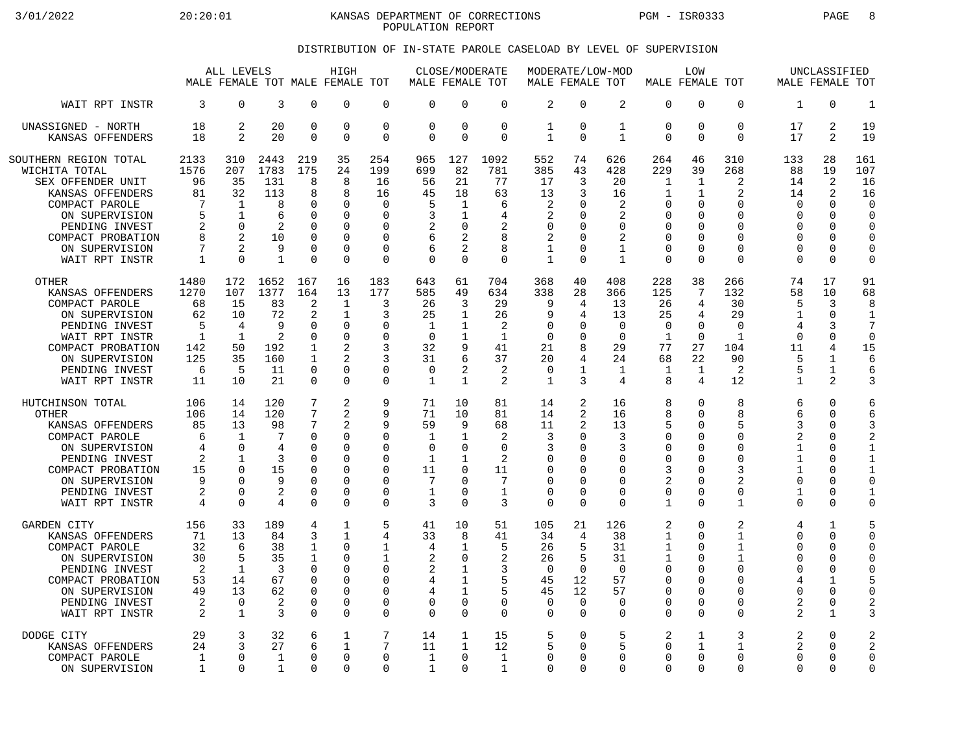3/01/2022 20:20:01 KANSAS DEPARTMENT OF CORRECTIONS PGM - ISR0333 PAGE 8 POPULATION REPORT

## DISTRIBUTION OF IN-STATE PAROLE CASELOAD BY LEVEL OF SUPERVISION

|                                                                                                                                                                                                | ALL LEVELS<br>HIGH<br>MALE FEMALE TOT MALE FEMALE TOT             |                                                                                  |                                                                      | MALE FEMALE TOT                                                                                | CLOSE/MODERATE                                                                                                     |                                                                                                         | MALE FEMALE TOT                                                      |                                                                                                | MODERATE/LOW-MOD                                                          | MALE FEMALE TOT                                                        | LOW                                                                |                                                                                   |                                                                                                      | UNCLASSIFIED<br>MALE FEMALE TOT                  |                                                                                                |                                                                                    |                                                                                                 |                                                                                                            |
|------------------------------------------------------------------------------------------------------------------------------------------------------------------------------------------------|-------------------------------------------------------------------|----------------------------------------------------------------------------------|----------------------------------------------------------------------|------------------------------------------------------------------------------------------------|--------------------------------------------------------------------------------------------------------------------|---------------------------------------------------------------------------------------------------------|----------------------------------------------------------------------|------------------------------------------------------------------------------------------------|---------------------------------------------------------------------------|------------------------------------------------------------------------|--------------------------------------------------------------------|-----------------------------------------------------------------------------------|------------------------------------------------------------------------------------------------------|--------------------------------------------------|------------------------------------------------------------------------------------------------|------------------------------------------------------------------------------------|-------------------------------------------------------------------------------------------------|------------------------------------------------------------------------------------------------------------|
| WAIT RPT INSTR                                                                                                                                                                                 | 3                                                                 | $\Omega$                                                                         | 3                                                                    | $\Omega$                                                                                       | $\Omega$                                                                                                           | $\mathbf 0$                                                                                             | $\Omega$                                                             | $\Omega$                                                                                       | $\Omega$                                                                  | $\overline{2}$                                                         | $\Omega$                                                           | 2                                                                                 | $\mathbf 0$                                                                                          | 0                                                | $\Omega$                                                                                       | 1                                                                                  | $\Omega$                                                                                        | $\mathbf{1}$                                                                                               |
| UNASSIGNED - NORTH                                                                                                                                                                             | 18                                                                | 2                                                                                | 20                                                                   | $\mathbf 0$                                                                                    | $\mathbf 0$                                                                                                        | $\mathbf 0$                                                                                             | $\Omega$                                                             | $\mathbf 0$                                                                                    | $\mathbf 0$                                                               | $\mathbf 1$                                                            | $\Omega$                                                           | $\mathbf{1}$                                                                      | $\mathbf 0$                                                                                          | 0                                                | $\mathbf 0$                                                                                    | 17                                                                                 | 2                                                                                               | 19                                                                                                         |
| KANSAS OFFENDERS                                                                                                                                                                               | 18                                                                | $\overline{2}$                                                                   | 20                                                                   | $\Omega$                                                                                       | $\Omega$                                                                                                           | $\mathbf 0$                                                                                             | $\Omega$                                                             | $\Omega$                                                                                       | $\Omega$                                                                  | 1                                                                      | $\Omega$                                                           | $\mathbf{1}$                                                                      | $\Omega$                                                                                             | 0                                                | $\Omega$                                                                                       | 17                                                                                 | 2                                                                                               | 19                                                                                                         |
| SOUTHERN REGION TOTAL<br>WICHITA TOTAL<br>SEX OFFENDER UNIT<br>KANSAS OFFENDERS<br>COMPACT PAROLE<br>ON SUPERVISION<br>PENDING INVEST<br>COMPACT PROBATION<br>ON SUPERVISION<br>WAIT RPT INSTR | 2133<br>1576<br>96<br>81<br>7<br>5<br>2<br>8<br>7<br>1            | 310<br>207<br>35<br>32<br>$\mathbf 1$<br>1<br>$\Omega$<br>2<br>2<br>$\Omega$     | 2443<br>1783<br>131<br>113<br>8<br>6<br>2<br>10<br>9<br>$\mathbf{1}$ | 219<br>175<br>8<br>8<br>0<br>$\Omega$<br>$\Omega$<br>$\Omega$<br>$\Omega$<br>$\Omega$          | 35<br>24<br>8<br>8<br>$\mathbf 0$<br>$\Omega$<br>$\Omega$<br>$\Omega$<br>$\Omega$<br>$\Omega$                      | 254<br>199<br>16<br>16<br>$\mathbf 0$<br>$\Omega$<br>$\Omega$<br>$\Omega$<br>$\mathbf 0$<br>$\mathbf 0$ | 965<br>699<br>56<br>45<br>5<br>3<br>2<br>6<br>6<br>$\Omega$          | 127<br>82<br>21<br>18<br>1<br>1<br>$\Omega$<br>$\overline{2}$<br>2<br>$\Omega$                 | 1092<br>781<br>77<br>63<br>6<br>4<br>$\overline{2}$<br>8<br>8<br>$\Omega$ | 552<br>385<br>17<br>13<br>2<br>2<br>0<br>2<br>1<br>$\mathbf{1}$        | 74<br>43<br>3<br>3<br><sup>0</sup><br>∩<br>$\Omega$<br>∩<br>∩      | 626<br>428<br>20<br>16<br>2<br>2<br>$\Omega$<br>2<br>$\mathbf{1}$<br>$\mathbf{1}$ | 264<br>229<br>1<br>1<br>$\mathbf 0$<br>0<br>$\mathbf 0$<br>0<br>$\mathbf 0$<br>$\mathbf 0$           | 46<br>39<br>1<br>1<br>0<br>U<br>O<br>0<br>O<br>0 | 310<br>268<br>2<br>2<br>$\Omega$<br>U<br>$\Omega$<br>$\Omega$<br>$\Omega$<br>$\Omega$          | 133<br>88<br>14<br>14<br>$\Omega$<br>O<br>$\Omega$<br>O<br>$\Omega$<br>$\Omega$    | 28<br>19<br>2<br>2<br>$\Omega$<br>$\Omega$<br>$\Omega$<br>$\Omega$<br>$\Omega$<br>$\Omega$      | 161<br>107<br>16<br>16<br>$\mathbf 0$<br>$\Omega$<br>$\Omega$<br>$\mathbf 0$<br>$\mathbf 0$<br>$\mathbf 0$ |
| <b>OTHER</b>                                                                                                                                                                                   | 1480                                                              | 172                                                                              | 1652                                                                 | 167                                                                                            | 16                                                                                                                 | 183                                                                                                     | 643                                                                  | 61                                                                                             | 704                                                                       | 368                                                                    | 40                                                                 | 408                                                                               | 228                                                                                                  | 38                                               | 266                                                                                            | 74                                                                                 | 17                                                                                              | 91                                                                                                         |
| KANSAS OFFENDERS                                                                                                                                                                               | 1270                                                              | 107                                                                              | 1377                                                                 | 164                                                                                            | 13                                                                                                                 | 177                                                                                                     | 585                                                                  | 49                                                                                             | 634                                                                       | 338                                                                    | 28                                                                 | 366                                                                               | 125                                                                                                  | 7                                                | 132                                                                                            | 58                                                                                 | 10                                                                                              | 68                                                                                                         |
| COMPACT PAROLE                                                                                                                                                                                 | 68                                                                | 15                                                                               | 83                                                                   | 2                                                                                              | $\mathbf{1}$                                                                                                       | 3                                                                                                       | 26                                                                   | 3                                                                                              | 29                                                                        | 9                                                                      | 4                                                                  | 13                                                                                | 26                                                                                                   | 4                                                | 30                                                                                             | 5                                                                                  | 3                                                                                               | 8                                                                                                          |
| ON SUPERVISION                                                                                                                                                                                 | 62                                                                | 10                                                                               | 72                                                                   | 2                                                                                              | $\mathbf{1}$                                                                                                       | 3                                                                                                       | 25                                                                   | 1                                                                                              | 26                                                                        | 9                                                                      | 4                                                                  | 13                                                                                | 25                                                                                                   | 4                                                | 29                                                                                             | 1                                                                                  | $\mathbf 0$                                                                                     | $\mathbf{1}$                                                                                               |
| PENDING INVEST                                                                                                                                                                                 | 5                                                                 | 4                                                                                | 9                                                                    | $\Omega$                                                                                       | $\mathbf 0$                                                                                                        | $\Omega$                                                                                                | $\mathbf 1$                                                          | $\mathbf 1$                                                                                    | $\overline{2}$                                                            | $\Omega$                                                               | <sup>0</sup>                                                       | $\Omega$                                                                          | $\mathbf 0$                                                                                          | 0                                                | $\Omega$                                                                                       | $\overline{4}$                                                                     | 3                                                                                               | 7                                                                                                          |
| WAIT RPT INSTR                                                                                                                                                                                 | $\mathbf{1}$                                                      | 1                                                                                | 2                                                                    | $\Omega$                                                                                       | $\Omega$                                                                                                           | $\Omega$                                                                                                | $\Omega$                                                             | 1                                                                                              | $\mathbf{1}$                                                              | $\Omega$                                                               | ∩                                                                  | $\Omega$                                                                          | $\mathbf{1}$                                                                                         | $\Omega$                                         | $\mathbf{1}$                                                                                   | $\Omega$                                                                           | $\Omega$                                                                                        | $\Omega$                                                                                                   |
| COMPACT PROBATION                                                                                                                                                                              | 142                                                               | 50                                                                               | 192                                                                  | $\mathbf{1}$                                                                                   | $\overline{a}$                                                                                                     | 3                                                                                                       | 32                                                                   | 9                                                                                              | 41                                                                        | 21                                                                     | 8                                                                  | 29                                                                                | 77                                                                                                   | 27                                               | 104                                                                                            | 11                                                                                 | 4                                                                                               | 15                                                                                                         |
| ON SUPERVISION                                                                                                                                                                                 | 125                                                               | 35                                                                               | 160                                                                  | 1                                                                                              | $\mathfrak{D}$                                                                                                     | 3                                                                                                       | 31                                                                   | 6                                                                                              | 37                                                                        | 20                                                                     | 4                                                                  | 24                                                                                | 68                                                                                                   | 22                                               | 90                                                                                             | 5                                                                                  | $\mathbf{1}$                                                                                    | 6                                                                                                          |
| PENDING INVEST                                                                                                                                                                                 | 6                                                                 | 5                                                                                | 11                                                                   | $\Omega$                                                                                       | $\Omega$                                                                                                           | 0                                                                                                       | $\Omega$                                                             | 2                                                                                              | 2                                                                         | 0                                                                      | 1                                                                  | 1                                                                                 | 1                                                                                                    | $\mathbf 1$                                      | 2                                                                                              | 5                                                                                  | $\mathbf{1}$                                                                                    | 6                                                                                                          |
| WAIT RPT INSTR                                                                                                                                                                                 | 11                                                                | 10                                                                               | 21                                                                   | $\Omega$                                                                                       | $\Omega$                                                                                                           | $\Omega$                                                                                                | 1                                                                    | $\mathbf{1}$                                                                                   | $\mathfrak{D}$                                                            | $\mathbf{1}$                                                           | 3                                                                  | 4                                                                                 | 8                                                                                                    | 4                                                | 12                                                                                             | $\mathbf{1}$                                                                       | 2                                                                                               | 3                                                                                                          |
| HUTCHINSON TOTAL<br><b>OTHER</b><br>KANSAS OFFENDERS<br>COMPACT PAROLE<br>ON SUPERVISION<br>PENDING INVEST<br>COMPACT PROBATION<br>ON SUPERVISION<br>PENDING INVEST<br>WAIT RPT INSTR          | 106<br>106<br>85<br>6<br>4<br>2<br>15<br>9<br>2<br>$\overline{4}$ | 14<br>14<br>13<br>$\mathbf 1$<br>$\Omega$<br>1<br>$\Omega$<br>U<br>0<br>$\Omega$ | 120<br>120<br>98<br>7<br>4<br>3<br>15<br>9<br>2<br>4                 | 7<br>7<br>7<br>$\mathbf 0$<br>$\Omega$<br>0<br>$\Omega$<br>$\Omega$<br>$\mathbf 0$<br>$\Omega$ | 2<br>$\overline{a}$<br>2<br>$\mathbf 0$<br>$\Omega$<br>$\Omega$<br>$\Omega$<br>$\Omega$<br>$\mathbf 0$<br>$\Omega$ | 9<br>9<br>9<br>0<br>$\Omega$<br>0<br>$\Omega$<br>$\Omega$<br>0<br>$\Omega$                              | 71<br>71<br>59<br>$\mathbf{1}$<br>$\Omega$<br>1<br>11<br>7<br>1<br>3 | 10<br>10<br>9<br>$\mathbf{1}$<br>$\Omega$<br>1<br>$\Omega$<br>$\Omega$<br>$\Omega$<br>$\Omega$ | 81<br>81<br>68<br>2<br>$\Omega$<br>2<br>11<br>7<br>$\mathbf{1}$<br>3      | 14<br>14<br>11<br>3<br>3<br>0<br>$\Omega$<br>$\Omega$<br>0<br>$\Omega$ | 2<br>2<br>2<br>∩<br>∩<br><sup>0</sup><br>∩<br>$\Omega$<br>$\Omega$ | 16<br>16<br>13<br>3<br>3<br>0<br>$\Omega$<br>$\Omega$<br>$\mathbf 0$<br>$\Omega$  | 8<br>8<br>5<br>$\mathbf 0$<br>0<br>$\mathbf 0$<br>3<br>$\overline{a}$<br>$\mathbf 0$<br>$\mathbf{1}$ | 0<br>0<br>0<br>0<br>O<br>0<br>0<br>0<br>0<br>0   | 8<br>8<br>5<br>$\Omega$<br>$\Omega$<br>∩<br>3<br>$\overline{2}$<br>$\mathbf 0$<br>$\mathbf{1}$ | 6<br>6<br>3<br>2<br>1<br>1<br>$\mathbf{1}$<br>$\Omega$<br>$\mathbf{1}$<br>$\Omega$ | $\Omega$<br>$\Omega$<br>$\Omega$<br>0<br>$\Omega$<br>0<br>$\Omega$<br>$\Omega$<br>0<br>$\Omega$ | 6<br>6<br>3<br>$\overline{2}$<br>$\mathbf{1}$<br>1<br>$\mathbf{1}$<br>$\Omega$<br>1<br>$\mathbf 0$         |
| <b>GARDEN CITY</b>                                                                                                                                                                             | 156                                                               | 33                                                                               | 189                                                                  | 4                                                                                              | $\mathbf{1}$                                                                                                       | 5                                                                                                       | 41                                                                   | 10                                                                                             | 51                                                                        | 105                                                                    | 21                                                                 | 126                                                                               | 2                                                                                                    | 0                                                | 2                                                                                              | 4                                                                                  | $\mathbf{1}$                                                                                    | 5                                                                                                          |
| KANSAS OFFENDERS                                                                                                                                                                               | 71                                                                | 13                                                                               | 84                                                                   | 3                                                                                              | $\mathbf{1}$                                                                                                       | 4                                                                                                       | 33                                                                   | 8                                                                                              | 41                                                                        | 34                                                                     | 4                                                                  | 38                                                                                | 1                                                                                                    | 0                                                | 1                                                                                              | 0                                                                                  | $\Omega$                                                                                        | $\mathbf 0$                                                                                                |
| COMPACT PAROLE                                                                                                                                                                                 | 32                                                                | 6                                                                                | 38                                                                   | 1                                                                                              | $\Omega$                                                                                                           | 1                                                                                                       | 4                                                                    | $\mathbf{1}$                                                                                   | 5                                                                         | 26                                                                     | 5                                                                  | 31                                                                                | 1                                                                                                    | 0                                                | 1                                                                                              | <sup>0</sup>                                                                       | $\Omega$                                                                                        | $\mathbf 0$                                                                                                |
| ON SUPERVISION                                                                                                                                                                                 | 30                                                                | 5                                                                                | 35                                                                   | 1                                                                                              | $\mathbf 0$                                                                                                        | 1                                                                                                       | $\overline{2}$                                                       | $\mathbf 0$                                                                                    | $\overline{2}$                                                            | 26                                                                     | 5                                                                  | 31                                                                                | $\mathbf{1}$                                                                                         | 0                                                | 1                                                                                              | $\Omega$                                                                           | 0                                                                                               | $\mathbf 0$                                                                                                |
| PENDING INVEST                                                                                                                                                                                 | 2                                                                 | 1                                                                                | 3                                                                    | $\Omega$                                                                                       | $\Omega$                                                                                                           | 0                                                                                                       | $\overline{2}$                                                       | 1                                                                                              | 3                                                                         | $\Omega$                                                               | $\Omega$                                                           | $\Omega$                                                                          | $\mathbf 0$                                                                                          | 0                                                | $\Omega$                                                                                       | O                                                                                  | 0                                                                                               | $\mathbf 0$                                                                                                |
| COMPACT PROBATION                                                                                                                                                                              | 53                                                                | 14                                                                               | 67                                                                   | $\mathbf 0$                                                                                    | $\mathbf 0$                                                                                                        | $\mathbf 0$                                                                                             | 4                                                                    | $\mathbf{1}$                                                                                   | 5                                                                         | 45                                                                     | 12                                                                 | 57                                                                                | $\mathbf 0$                                                                                          | 0                                                | $\Omega$                                                                                       | 4                                                                                  | $\mathbf{1}$                                                                                    | 5                                                                                                          |
| ON SUPERVISION                                                                                                                                                                                 | 49                                                                | 13                                                                               | 62                                                                   | $\Omega$                                                                                       | $\Omega$                                                                                                           | $\Omega$                                                                                                | 4                                                                    | $\mathbf{1}$                                                                                   | 5                                                                         | 45                                                                     | 12                                                                 | 57                                                                                | $\mathbf 0$                                                                                          | 0                                                | $\Omega$                                                                                       | <sup>0</sup>                                                                       | $\Omega$                                                                                        | $\mathbf 0$                                                                                                |
| PENDING INVEST                                                                                                                                                                                 | 2                                                                 | 0                                                                                | 2                                                                    | 0                                                                                              | 0                                                                                                                  | 0                                                                                                       | $\Omega$                                                             | 0                                                                                              | 0                                                                         | 0                                                                      | 0                                                                  | 0                                                                                 | $\mathbf 0$                                                                                          | 0                                                | 0                                                                                              | 2                                                                                  | 0                                                                                               | $\overline{2}$                                                                                             |
| WAIT RPT INSTR                                                                                                                                                                                 | $\overline{2}$                                                    | $\mathbf{1}$                                                                     | 3                                                                    | $\Omega$                                                                                       | $\Omega$                                                                                                           | $\Omega$                                                                                                | $\Omega$                                                             | $\Omega$                                                                                       | $\Omega$                                                                  | $\Omega$                                                               | $\Omega$                                                           | $\Omega$                                                                          | $\Omega$                                                                                             | 0                                                | $\Omega$                                                                                       | $\overline{2}$                                                                     | $\mathbf{1}$                                                                                    | 3                                                                                                          |
| DODGE CITY                                                                                                                                                                                     | 29                                                                | 3                                                                                | 32                                                                   | 6                                                                                              | 1                                                                                                                  | 7                                                                                                       | 14                                                                   | 1                                                                                              | 15                                                                        | 5                                                                      | 0                                                                  | 5                                                                                 | 2                                                                                                    | $\mathbf 1$                                      | 3                                                                                              | 2                                                                                  | 0                                                                                               | $\overline{c}$                                                                                             |
| KANSAS OFFENDERS                                                                                                                                                                               | 24                                                                | ζ                                                                                | 27                                                                   | 6                                                                                              | $\mathbf{1}$                                                                                                       | 7                                                                                                       | 11                                                                   | 1                                                                                              | 12                                                                        | 5                                                                      | $\Omega$                                                           | 5                                                                                 | $\Omega$                                                                                             | 1                                                | 1                                                                                              | 2                                                                                  | $\Omega$                                                                                        | $\overline{2}$                                                                                             |
| COMPACT PAROLE                                                                                                                                                                                 | $\mathbf{1}$                                                      | 0                                                                                | $\mathbf{1}$                                                         | $\Omega$                                                                                       | $\Omega$                                                                                                           | 0                                                                                                       | 1                                                                    | $\Omega$                                                                                       | $\mathbf 1$                                                               | 0                                                                      | $\Omega$                                                           | $\Omega$                                                                          | $\mathbf 0$                                                                                          | 0                                                | $\Omega$                                                                                       | $\Omega$                                                                           | $\Omega$                                                                                        | $\mathbf 0$                                                                                                |
| ON SUPERVISION                                                                                                                                                                                 | 1                                                                 | $\Omega$                                                                         | 1                                                                    | $\Omega$                                                                                       | $\Omega$                                                                                                           | $\Omega$                                                                                                | 1                                                                    | $\Omega$                                                                                       | $\mathbf{1}$                                                              | $\Omega$                                                               | $\Omega$                                                           | $\Omega$                                                                          | $\Omega$                                                                                             | 0                                                | $\Omega$                                                                                       | <sup>0</sup>                                                                       | $\Omega$                                                                                        | $\mathbf 0$                                                                                                |